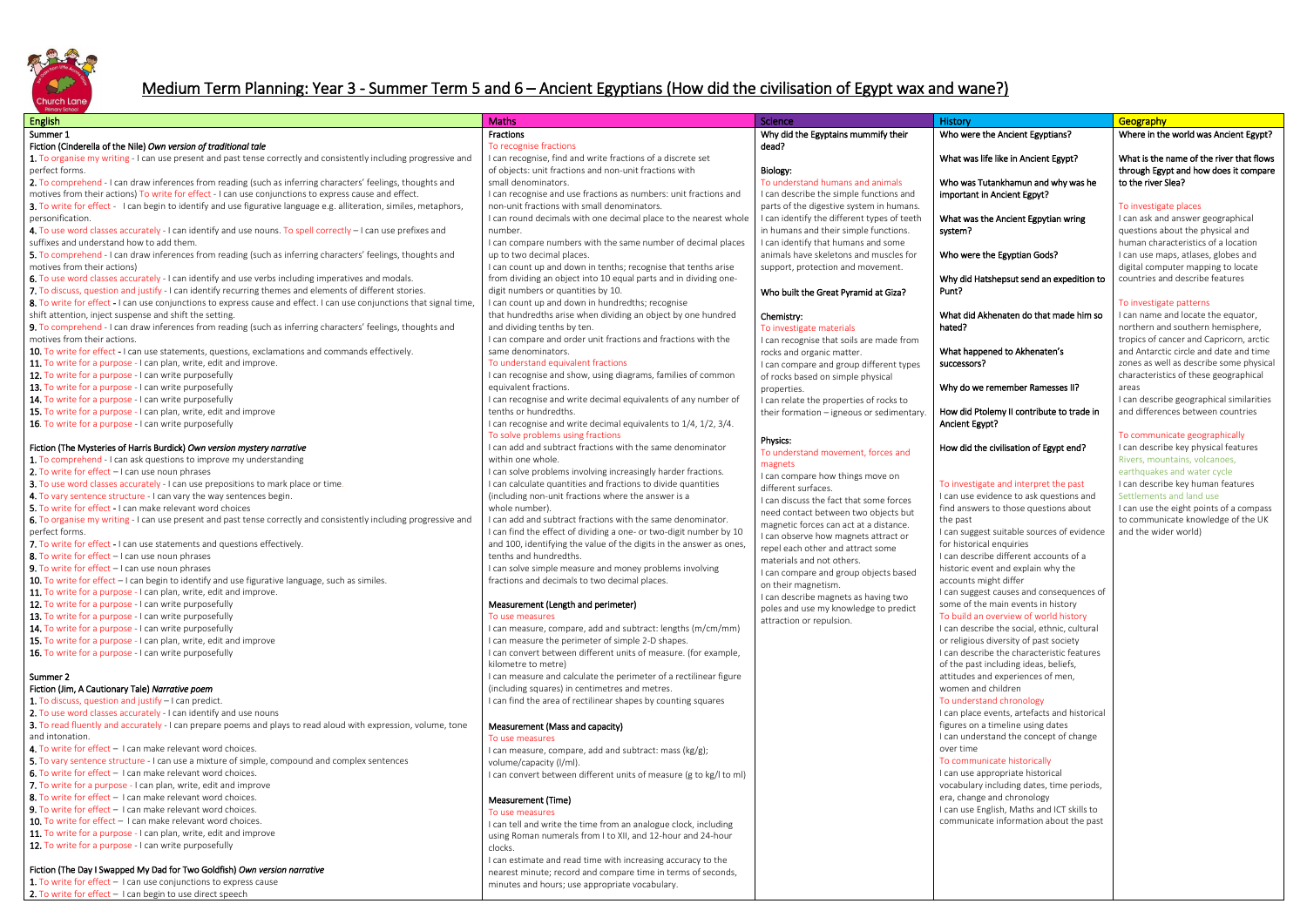

# Medium Term Planning: Year 3 - Summer Term 5 and 6 – Ancient Egyptians (How did the civilisation of Egypt wax and wane?)

| Fractions<br>Why did the Egyptains mummify their<br>Who were the Ancient Egyptians?<br>Where in the<br>To recognise fractions<br>dead?<br>I can recognise, find and write fractions of a discrete set<br>What was life like in Ancient Egypt?<br>What is the i<br>of objects: unit fractions and non-unit fractions with<br>Biology:<br>through Egy<br>To understand humans and animals<br>small denominators.<br>Who was Tutankhamun and why was he<br>to the river 9<br>I can recognise and use fractions as numbers: unit fractions and<br>I can describe the simple functions and<br>important in Ancient Egpyt?<br>non-unit fractions with small denominators.<br>parts of the digestive system in humans.<br>To investigat<br>I can round decimals with one decimal place to the nearest whole<br>I can identify the different types of teeth<br>personification.<br>What was the Ancient Egpytian wring<br>in humans and their simple functions.<br>number.<br>questions ab<br>system?<br>I can compare numbers with the same number of decimal places<br>I can identify that humans and some<br>human chara<br>animals have skeletons and muscles for<br>5. To comprehend - I can draw inferences from reading (such as inferring characters' feelings, thoughts and<br>up to two decimal places.<br>Who were the Egyptian Gods?<br>I can use ma<br>I can count up and down in tenths; recognise that tenths arise<br>support, protection and movement.<br>motives from their actions)<br>digital comp<br>6. To use word classes accurately - I can identify and use verbs including imperatives and modals.<br>from dividing an object into 10 equal parts and in dividing one-<br>Why did Hatshepsut send an expedition to<br>countries an<br>7. To discuss, question and justify - I can identify recurring themes and elements of different stories.<br>digit numbers or quantities by 10.<br>Punt?<br>Who built the Great Pyramid at Giza?<br>8. To write for effect - I can use conjunctions to express cause and effect. I can use conjunctions that signal time,<br>I can count up and down in hundredths; recognise<br>To investigat<br>shift attention, inject suspense and shift the setting.<br>that hundredths arise when dividing an object by one hundred<br>What did Akhenaten do that made him so<br>I can name a<br>Chemistry:<br>9. To comprehend - I can draw inferences from reading (such as inferring characters' feelings, thoughts and<br>and dividing tenths by ten.<br>northern an<br>hated?<br>To investigate materials<br>motives from their actions.<br>I can compare and order unit fractions and fractions with the<br>tropics of ca<br>I can recognise that soils are made from<br>same denominators.<br>10. To write for effect - I can use statements, questions, exclamations and commands effectively.<br>and Antarcti<br>What happened to Akhenaten's<br>rocks and organic matter.<br>11. To write for a purpose - I can plan, write, edit and improve.<br>To understand equivalent fractions<br>successors?<br>zones as we<br>I can compare and group different types<br>12. To write for a purpose - I can write purposefully<br>I can recognise and show, using diagrams, families of common<br>characteristi<br>of rocks based on simple physical<br>13. To write for a purpose - I can write purposefully<br>equivalent fractions.<br>Why do we remember Ramesses II?<br>areas<br>properties.<br>14. To write for a purpose - I can write purposefully<br>I can recognise and write decimal equivalents of any number of<br>I can describ<br>I can relate the properties of rocks to<br>15. To write for a purpose - I can plan, write, edit and improve<br>tenths or hundredths.<br>and differen<br>How did Ptolemy II contribute to trade in<br>their formation - igneous or sedimentary.<br>16. To write for a purpose - I can write purposefully<br>I can recognise and write decimal equivalents to 1/4, 1/2, 3/4.<br>Ancient Egypt?<br>To solve problems using fractions<br>To communi<br>Physics:<br>I can add and subtract fractions with the same denominator<br>Fiction (The Mysteries of Harris Burdick) Own version mystery narrative<br>How did the civilisation of Egypt end?<br>I can describ<br>To understand movement, forces and<br>within one whole.<br>1. To comprehend - I can ask questions to improve my understanding<br>magnets<br>2. To write for effect $-1$ can use noun phrases<br>I can solve problems involving increasingly harder fractions.<br>earthquakes<br>I can compare how things move on<br>3. To use word classes accurately - I can use prepositions to mark place or time.<br>I can calculate quantities and fractions to divide quantities<br>To investigate and interpret the past<br>I can describ<br>different surfaces.<br>4. To vary sentence structure - I can vary the way sentences begin.<br>(including non-unit fractions where the answer is a<br>I can use evidence to ask questions and<br>Settlements<br>I can discuss the fact that some forces<br>5. To write for effect - I can make relevant word choices<br>whole number).<br>find answers to those questions about<br>I can use the<br>need contact between two objects but<br>I can add and subtract fractions with the same denominator.<br>6. To organise my writing - I can use present and past tense correctly and consistently including progressive and<br>to communi<br>the past<br>magnetic forces can act at a distance.<br>I can suggest suitable sources of evidence<br>I can find the effect of dividing a one- or two-digit number by 10<br>perfect forms.<br>and the wide<br>I can observe how magnets attract or<br>7. To write for effect - I can use statements and questions effectively.<br>and 100, identifying the value of the digits in the answer as ones,<br>for historical enquiries<br>repel each other and attract some<br>8. To write for effect - I can use noun phrases<br>tenths and hundredths.<br>I can describe different accounts of a<br>materials and not others.<br>I can solve simple measure and money problems involving<br>historic event and explain why the<br>I can compare and group objects based<br>fractions and decimals to two decimal places.<br>accounts might differ<br>on their magnetism.<br>I can suggest causes and consequences of<br>I can describe magnets as having two<br>Measurement (Length and perimeter)<br>some of the main events in history<br>poles and use my knowledge to predict<br>To build an overview of world history<br>To use measures<br>attraction or repulsion.<br>14. To write for a purpose - I can write purposefully<br>I can measure, compare, add and subtract: lengths (m/cm/mm)<br>I can describe the social, ethnic, cultural<br>15. To write for a purpose - I can plan, write, edit and improve<br>I can measure the perimeter of simple 2-D shapes.<br>or religious diversity of past society<br>I can describe the characteristic features<br>16. To write for a purpose - I can write purposefully<br>I can convert between different units of measure. (for example,<br>kilometre to metre)<br>of the past including ideas, beliefs,<br>I can measure and calculate the perimeter of a rectilinear figure<br>attitudes and experiences of men,<br>Summer 2<br>(including squares) in centimetres and metres.<br>women and children<br>Fiction (Jim, A Cautionary Tale) Narrative poem<br>1. To discuss, question and justify - I can predict.<br>I can find the area of rectilinear shapes by counting squares<br>To understand chronology<br>2. To use word classes accurately - I can identify and use nouns<br>I can place events, artefacts and historical<br>3. To read fluently and accurately - I can prepare poems and plays to read aloud with expression, volume, tone<br>figures on a timeline using dates<br>Measurement (Mass and capacity)<br>I can understand the concept of change<br>and intonation.<br>To use measures<br>4. To write for effect - I can make relevant word choices.<br>over time<br>I can measure, compare, add and subtract: mass (kg/g);<br>5. To vary sentence structure - I can use a mixture of simple, compound and complex sentences<br>To communicate historically<br>volume/capacity (I/ml).<br><b>6.</b> To write for effect - I can make relevant word choices.<br>I can use appropriate historical<br>I can convert between different units of measure (g to kg/l to ml)<br>7. To write for a purpose - I can plan, write, edit and improve<br>vocabulary including dates, time periods,<br>8. To write for effect - I can make relevant word choices.<br>era, change and chronology<br>Measurement (Time)<br>9. To write for effect - I can make relevant word choices.<br>I can use English, Maths and ICT skills to<br>To use measures<br><b>10.</b> To write for effect $-1$ can make relevant word choices.<br>communicate information about the past<br>I can tell and write the time from an analogue clock, including<br>11. To write for a purpose - I can plan, write, edit and improve<br>using Roman numerals from I to XII, and 12-hour and 24-hour<br>12. To write for a purpose - I can write purposefully<br>clocks.<br>I can estimate and read time with increasing accuracy to the<br>Fiction (The Day I Swapped My Dad for Two Goldfish) Own version narrative<br>nearest minute; record and compare time in terms of seconds,<br>1. To write for effect - I can use conjunctions to express cause<br>minutes and hours; use appropriate vocabulary.<br>2. To write for effect - I can begin to use direct speech | English                                                                                                             | <b>Maths</b> | Science | History | Geography |
|-------------------------------------------------------------------------------------------------------------------------------------------------------------------------------------------------------------------------------------------------------------------------------------------------------------------------------------------------------------------------------------------------------------------------------------------------------------------------------------------------------------------------------------------------------------------------------------------------------------------------------------------------------------------------------------------------------------------------------------------------------------------------------------------------------------------------------------------------------------------------------------------------------------------------------------------------------------------------------------------------------------------------------------------------------------------------------------------------------------------------------------------------------------------------------------------------------------------------------------------------------------------------------------------------------------------------------------------------------------------------------------------------------------------------------------------------------------------------------------------------------------------------------------------------------------------------------------------------------------------------------------------------------------------------------------------------------------------------------------------------------------------------------------------------------------------------------------------------------------------------------------------------------------------------------------------------------------------------------------------------------------------------------------------------------------------------------------------------------------------------------------------------------------------------------------------------------------------------------------------------------------------------------------------------------------------------------------------------------------------------------------------------------------------------------------------------------------------------------------------------------------------------------------------------------------------------------------------------------------------------------------------------------------------------------------------------------------------------------------------------------------------------------------------------------------------------------------------------------------------------------------------------------------------------------------------------------------------------------------------------------------------------------------------------------------------------------------------------------------------------------------------------------------------------------------------------------------------------------------------------------------------------------------------------------------------------------------------------------------------------------------------------------------------------------------------------------------------------------------------------------------------------------------------------------------------------------------------------------------------------------------------------------------------------------------------------------------------------------------------------------------------------------------------------------------------------------------------------------------------------------------------------------------------------------------------------------------------------------------------------------------------------------------------------------------------------------------------------------------------------------------------------------------------------------------------------------------------------------------------------------------------------------------------------------------------------------------------------------------------------------------------------------------------------------------------------------------------------------------------------------------------------------------------------------------------------------------------------------------------------------------------------------------------------------------------------------------------------------------------------------------------------------------------------------------------------------------------------------------------------------------------------------------------------------------------------------------------------------------------------------------------------------------------------------------------------------------------------------------------------------------------------------------------------------------------------------------------------------------------------------------------------------------------------------------------------------------------------------------------------------------------------------------------------------------------------------------------------------------------------------------------------------------------------------------------------------------------------------------------------------------------------------------------------------------------------------------------------------------------------------------------------------------------------------------------------------------------------------------------------------------------------------------------------------------------------------------------------------------------------------------------------------------------------------------------------------------------------------------------------------------------------------------------------------------------------------------------------------------------------------------------------------------------------------------------------------------------------------------------------------------------------------------------------------------------------------------------------------------------------------------------------------------------------------------------------------------------------------------------------------------------------------------------------------------------------------------------------------------------------------------------------------------------------------------------------------------------------------------------------------------------------------------------------------------------------------------------------------------------------------------------------------------------------------------------------------------------------------------------------------------------------------------------------------------------------------------------------------------------------------------------------------------------------------------------------------------------------------------------------------------------------------------------------------------------------------------------------------------------------------------------------------------------------------------------------------------------------------------------------------------------------------------------------------------------------------------------------------------------------------------------------------------------------------------------------------------------------------------------------------------------------------------------------------------------------------------------------------------------------------------------------------------------------------------------------------------------------------------------------------------------------------------------------------------------------------------------------------------------------------------------------------------------------------------------------------------------------------------------------------------------------------------------------------------------------------------------------------------------------------------------------------------------------------------------------------------------------------------------------------------------------------------------------------------------------------------------------------------------------------------------------------------------------------------------------------------------------------------------------------------------------------------------------------------------------------------------------------------------------------------------------------------------------------------------------------------------------------------------------------------------------------------------------------------------------------------------------------------------------------------------------------------------------------------------------------------------------------------------------------------------------------------------------------------------------------------------------------------------------------------------------------------------------------------------------------------------------------------------------------------------------------------|---------------------------------------------------------------------------------------------------------------------|--------------|---------|---------|-----------|
|                                                                                                                                                                                                                                                                                                                                                                                                                                                                                                                                                                                                                                                                                                                                                                                                                                                                                                                                                                                                                                                                                                                                                                                                                                                                                                                                                                                                                                                                                                                                                                                                                                                                                                                                                                                                                                                                                                                                                                                                                                                                                                                                                                                                                                                                                                                                                                                                                                                                                                                                                                                                                                                                                                                                                                                                                                                                                                                                                                                                                                                                                                                                                                                                                                                                                                                                                                                                                                                                                                                                                                                                                                                                                                                                                                                                                                                                                                                                                                                                                                                                                                                                                                                                                                                                                                                                                                                                                                                                                                                                                                                                                                                                                                                                                                                                                                                                                                                                                                                                                                                                                                                                                                                                                                                                                                                                                                                                                                                                                                                                                                                                                                                                                                                                                                                                                                                                                                                                                                                                                                                                                                                                                                                                                                                                                                                                                                                                                                                                                                                                                                                                                                                                                                                                                                                                                                                                                                                                                                                                                                                                                                                                                                                                                                                                                                                                                                                                                                                                                                                                                                                                                                                                                                                                                                                                                                                                                                                                                                                                                                                                                                                                                                                                                                                                                                                                                                                                                                                                                                                                                                                                                                                                                                                                                                                                                                                                                                                                                                                                                                                                                                                                                                                                                                                                                                                                                                                                                                                                                                                                                                                                                                                             | Summer 1                                                                                                            |              |         |         |           |
|                                                                                                                                                                                                                                                                                                                                                                                                                                                                                                                                                                                                                                                                                                                                                                                                                                                                                                                                                                                                                                                                                                                                                                                                                                                                                                                                                                                                                                                                                                                                                                                                                                                                                                                                                                                                                                                                                                                                                                                                                                                                                                                                                                                                                                                                                                                                                                                                                                                                                                                                                                                                                                                                                                                                                                                                                                                                                                                                                                                                                                                                                                                                                                                                                                                                                                                                                                                                                                                                                                                                                                                                                                                                                                                                                                                                                                                                                                                                                                                                                                                                                                                                                                                                                                                                                                                                                                                                                                                                                                                                                                                                                                                                                                                                                                                                                                                                                                                                                                                                                                                                                                                                                                                                                                                                                                                                                                                                                                                                                                                                                                                                                                                                                                                                                                                                                                                                                                                                                                                                                                                                                                                                                                                                                                                                                                                                                                                                                                                                                                                                                                                                                                                                                                                                                                                                                                                                                                                                                                                                                                                                                                                                                                                                                                                                                                                                                                                                                                                                                                                                                                                                                                                                                                                                                                                                                                                                                                                                                                                                                                                                                                                                                                                                                                                                                                                                                                                                                                                                                                                                                                                                                                                                                                                                                                                                                                                                                                                                                                                                                                                                                                                                                                                                                                                                                                                                                                                                                                                                                                                                                                                                                                                             | Fiction (Cinderella of the Nile) Own version of traditional tale                                                    |              |         |         |           |
|                                                                                                                                                                                                                                                                                                                                                                                                                                                                                                                                                                                                                                                                                                                                                                                                                                                                                                                                                                                                                                                                                                                                                                                                                                                                                                                                                                                                                                                                                                                                                                                                                                                                                                                                                                                                                                                                                                                                                                                                                                                                                                                                                                                                                                                                                                                                                                                                                                                                                                                                                                                                                                                                                                                                                                                                                                                                                                                                                                                                                                                                                                                                                                                                                                                                                                                                                                                                                                                                                                                                                                                                                                                                                                                                                                                                                                                                                                                                                                                                                                                                                                                                                                                                                                                                                                                                                                                                                                                                                                                                                                                                                                                                                                                                                                                                                                                                                                                                                                                                                                                                                                                                                                                                                                                                                                                                                                                                                                                                                                                                                                                                                                                                                                                                                                                                                                                                                                                                                                                                                                                                                                                                                                                                                                                                                                                                                                                                                                                                                                                                                                                                                                                                                                                                                                                                                                                                                                                                                                                                                                                                                                                                                                                                                                                                                                                                                                                                                                                                                                                                                                                                                                                                                                                                                                                                                                                                                                                                                                                                                                                                                                                                                                                                                                                                                                                                                                                                                                                                                                                                                                                                                                                                                                                                                                                                                                                                                                                                                                                                                                                                                                                                                                                                                                                                                                                                                                                                                                                                                                                                                                                                                                                             | 1. To organise my writing - I can use present and past tense correctly and consistently including progressive and   |              |         |         |           |
|                                                                                                                                                                                                                                                                                                                                                                                                                                                                                                                                                                                                                                                                                                                                                                                                                                                                                                                                                                                                                                                                                                                                                                                                                                                                                                                                                                                                                                                                                                                                                                                                                                                                                                                                                                                                                                                                                                                                                                                                                                                                                                                                                                                                                                                                                                                                                                                                                                                                                                                                                                                                                                                                                                                                                                                                                                                                                                                                                                                                                                                                                                                                                                                                                                                                                                                                                                                                                                                                                                                                                                                                                                                                                                                                                                                                                                                                                                                                                                                                                                                                                                                                                                                                                                                                                                                                                                                                                                                                                                                                                                                                                                                                                                                                                                                                                                                                                                                                                                                                                                                                                                                                                                                                                                                                                                                                                                                                                                                                                                                                                                                                                                                                                                                                                                                                                                                                                                                                                                                                                                                                                                                                                                                                                                                                                                                                                                                                                                                                                                                                                                                                                                                                                                                                                                                                                                                                                                                                                                                                                                                                                                                                                                                                                                                                                                                                                                                                                                                                                                                                                                                                                                                                                                                                                                                                                                                                                                                                                                                                                                                                                                                                                                                                                                                                                                                                                                                                                                                                                                                                                                                                                                                                                                                                                                                                                                                                                                                                                                                                                                                                                                                                                                                                                                                                                                                                                                                                                                                                                                                                                                                                                                                             | perfect forms.                                                                                                      |              |         |         |           |
|                                                                                                                                                                                                                                                                                                                                                                                                                                                                                                                                                                                                                                                                                                                                                                                                                                                                                                                                                                                                                                                                                                                                                                                                                                                                                                                                                                                                                                                                                                                                                                                                                                                                                                                                                                                                                                                                                                                                                                                                                                                                                                                                                                                                                                                                                                                                                                                                                                                                                                                                                                                                                                                                                                                                                                                                                                                                                                                                                                                                                                                                                                                                                                                                                                                                                                                                                                                                                                                                                                                                                                                                                                                                                                                                                                                                                                                                                                                                                                                                                                                                                                                                                                                                                                                                                                                                                                                                                                                                                                                                                                                                                                                                                                                                                                                                                                                                                                                                                                                                                                                                                                                                                                                                                                                                                                                                                                                                                                                                                                                                                                                                                                                                                                                                                                                                                                                                                                                                                                                                                                                                                                                                                                                                                                                                                                                                                                                                                                                                                                                                                                                                                                                                                                                                                                                                                                                                                                                                                                                                                                                                                                                                                                                                                                                                                                                                                                                                                                                                                                                                                                                                                                                                                                                                                                                                                                                                                                                                                                                                                                                                                                                                                                                                                                                                                                                                                                                                                                                                                                                                                                                                                                                                                                                                                                                                                                                                                                                                                                                                                                                                                                                                                                                                                                                                                                                                                                                                                                                                                                                                                                                                                                                             | 2. To comprehend - I can draw inferences from reading (such as inferring characters' feelings, thoughts and         |              |         |         |           |
| I can ask and<br>Rivers, mour                                                                                                                                                                                                                                                                                                                                                                                                                                                                                                                                                                                                                                                                                                                                                                                                                                                                                                                                                                                                                                                                                                                                                                                                                                                                                                                                                                                                                                                                                                                                                                                                                                                                                                                                                                                                                                                                                                                                                                                                                                                                                                                                                                                                                                                                                                                                                                                                                                                                                                                                                                                                                                                                                                                                                                                                                                                                                                                                                                                                                                                                                                                                                                                                                                                                                                                                                                                                                                                                                                                                                                                                                                                                                                                                                                                                                                                                                                                                                                                                                                                                                                                                                                                                                                                                                                                                                                                                                                                                                                                                                                                                                                                                                                                                                                                                                                                                                                                                                                                                                                                                                                                                                                                                                                                                                                                                                                                                                                                                                                                                                                                                                                                                                                                                                                                                                                                                                                                                                                                                                                                                                                                                                                                                                                                                                                                                                                                                                                                                                                                                                                                                                                                                                                                                                                                                                                                                                                                                                                                                                                                                                                                                                                                                                                                                                                                                                                                                                                                                                                                                                                                                                                                                                                                                                                                                                                                                                                                                                                                                                                                                                                                                                                                                                                                                                                                                                                                                                                                                                                                                                                                                                                                                                                                                                                                                                                                                                                                                                                                                                                                                                                                                                                                                                                                                                                                                                                                                                                                                                                                                                                                                                               | motives from their actions) To write for effect - I can use conjunctions to express cause and effect.               |              |         |         |           |
|                                                                                                                                                                                                                                                                                                                                                                                                                                                                                                                                                                                                                                                                                                                                                                                                                                                                                                                                                                                                                                                                                                                                                                                                                                                                                                                                                                                                                                                                                                                                                                                                                                                                                                                                                                                                                                                                                                                                                                                                                                                                                                                                                                                                                                                                                                                                                                                                                                                                                                                                                                                                                                                                                                                                                                                                                                                                                                                                                                                                                                                                                                                                                                                                                                                                                                                                                                                                                                                                                                                                                                                                                                                                                                                                                                                                                                                                                                                                                                                                                                                                                                                                                                                                                                                                                                                                                                                                                                                                                                                                                                                                                                                                                                                                                                                                                                                                                                                                                                                                                                                                                                                                                                                                                                                                                                                                                                                                                                                                                                                                                                                                                                                                                                                                                                                                                                                                                                                                                                                                                                                                                                                                                                                                                                                                                                                                                                                                                                                                                                                                                                                                                                                                                                                                                                                                                                                                                                                                                                                                                                                                                                                                                                                                                                                                                                                                                                                                                                                                                                                                                                                                                                                                                                                                                                                                                                                                                                                                                                                                                                                                                                                                                                                                                                                                                                                                                                                                                                                                                                                                                                                                                                                                                                                                                                                                                                                                                                                                                                                                                                                                                                                                                                                                                                                                                                                                                                                                                                                                                                                                                                                                                                                             | 3. To write for effect - I can begin to identify and use figurative language e.g. alliteration, similes, metaphors, |              |         |         |           |
|                                                                                                                                                                                                                                                                                                                                                                                                                                                                                                                                                                                                                                                                                                                                                                                                                                                                                                                                                                                                                                                                                                                                                                                                                                                                                                                                                                                                                                                                                                                                                                                                                                                                                                                                                                                                                                                                                                                                                                                                                                                                                                                                                                                                                                                                                                                                                                                                                                                                                                                                                                                                                                                                                                                                                                                                                                                                                                                                                                                                                                                                                                                                                                                                                                                                                                                                                                                                                                                                                                                                                                                                                                                                                                                                                                                                                                                                                                                                                                                                                                                                                                                                                                                                                                                                                                                                                                                                                                                                                                                                                                                                                                                                                                                                                                                                                                                                                                                                                                                                                                                                                                                                                                                                                                                                                                                                                                                                                                                                                                                                                                                                                                                                                                                                                                                                                                                                                                                                                                                                                                                                                                                                                                                                                                                                                                                                                                                                                                                                                                                                                                                                                                                                                                                                                                                                                                                                                                                                                                                                                                                                                                                                                                                                                                                                                                                                                                                                                                                                                                                                                                                                                                                                                                                                                                                                                                                                                                                                                                                                                                                                                                                                                                                                                                                                                                                                                                                                                                                                                                                                                                                                                                                                                                                                                                                                                                                                                                                                                                                                                                                                                                                                                                                                                                                                                                                                                                                                                                                                                                                                                                                                                                                             |                                                                                                                     |              |         |         |           |
|                                                                                                                                                                                                                                                                                                                                                                                                                                                                                                                                                                                                                                                                                                                                                                                                                                                                                                                                                                                                                                                                                                                                                                                                                                                                                                                                                                                                                                                                                                                                                                                                                                                                                                                                                                                                                                                                                                                                                                                                                                                                                                                                                                                                                                                                                                                                                                                                                                                                                                                                                                                                                                                                                                                                                                                                                                                                                                                                                                                                                                                                                                                                                                                                                                                                                                                                                                                                                                                                                                                                                                                                                                                                                                                                                                                                                                                                                                                                                                                                                                                                                                                                                                                                                                                                                                                                                                                                                                                                                                                                                                                                                                                                                                                                                                                                                                                                                                                                                                                                                                                                                                                                                                                                                                                                                                                                                                                                                                                                                                                                                                                                                                                                                                                                                                                                                                                                                                                                                                                                                                                                                                                                                                                                                                                                                                                                                                                                                                                                                                                                                                                                                                                                                                                                                                                                                                                                                                                                                                                                                                                                                                                                                                                                                                                                                                                                                                                                                                                                                                                                                                                                                                                                                                                                                                                                                                                                                                                                                                                                                                                                                                                                                                                                                                                                                                                                                                                                                                                                                                                                                                                                                                                                                                                                                                                                                                                                                                                                                                                                                                                                                                                                                                                                                                                                                                                                                                                                                                                                                                                                                                                                                                                             | 4. To use word classes accurately - I can identify and use nouns. To spell correctly - I can use prefixes and       |              |         |         |           |
|                                                                                                                                                                                                                                                                                                                                                                                                                                                                                                                                                                                                                                                                                                                                                                                                                                                                                                                                                                                                                                                                                                                                                                                                                                                                                                                                                                                                                                                                                                                                                                                                                                                                                                                                                                                                                                                                                                                                                                                                                                                                                                                                                                                                                                                                                                                                                                                                                                                                                                                                                                                                                                                                                                                                                                                                                                                                                                                                                                                                                                                                                                                                                                                                                                                                                                                                                                                                                                                                                                                                                                                                                                                                                                                                                                                                                                                                                                                                                                                                                                                                                                                                                                                                                                                                                                                                                                                                                                                                                                                                                                                                                                                                                                                                                                                                                                                                                                                                                                                                                                                                                                                                                                                                                                                                                                                                                                                                                                                                                                                                                                                                                                                                                                                                                                                                                                                                                                                                                                                                                                                                                                                                                                                                                                                                                                                                                                                                                                                                                                                                                                                                                                                                                                                                                                                                                                                                                                                                                                                                                                                                                                                                                                                                                                                                                                                                                                                                                                                                                                                                                                                                                                                                                                                                                                                                                                                                                                                                                                                                                                                                                                                                                                                                                                                                                                                                                                                                                                                                                                                                                                                                                                                                                                                                                                                                                                                                                                                                                                                                                                                                                                                                                                                                                                                                                                                                                                                                                                                                                                                                                                                                                                                             | suffixes and understand how to add them.                                                                            |              |         |         |           |
|                                                                                                                                                                                                                                                                                                                                                                                                                                                                                                                                                                                                                                                                                                                                                                                                                                                                                                                                                                                                                                                                                                                                                                                                                                                                                                                                                                                                                                                                                                                                                                                                                                                                                                                                                                                                                                                                                                                                                                                                                                                                                                                                                                                                                                                                                                                                                                                                                                                                                                                                                                                                                                                                                                                                                                                                                                                                                                                                                                                                                                                                                                                                                                                                                                                                                                                                                                                                                                                                                                                                                                                                                                                                                                                                                                                                                                                                                                                                                                                                                                                                                                                                                                                                                                                                                                                                                                                                                                                                                                                                                                                                                                                                                                                                                                                                                                                                                                                                                                                                                                                                                                                                                                                                                                                                                                                                                                                                                                                                                                                                                                                                                                                                                                                                                                                                                                                                                                                                                                                                                                                                                                                                                                                                                                                                                                                                                                                                                                                                                                                                                                                                                                                                                                                                                                                                                                                                                                                                                                                                                                                                                                                                                                                                                                                                                                                                                                                                                                                                                                                                                                                                                                                                                                                                                                                                                                                                                                                                                                                                                                                                                                                                                                                                                                                                                                                                                                                                                                                                                                                                                                                                                                                                                                                                                                                                                                                                                                                                                                                                                                                                                                                                                                                                                                                                                                                                                                                                                                                                                                                                                                                                                                                             |                                                                                                                     |              |         |         |           |
|                                                                                                                                                                                                                                                                                                                                                                                                                                                                                                                                                                                                                                                                                                                                                                                                                                                                                                                                                                                                                                                                                                                                                                                                                                                                                                                                                                                                                                                                                                                                                                                                                                                                                                                                                                                                                                                                                                                                                                                                                                                                                                                                                                                                                                                                                                                                                                                                                                                                                                                                                                                                                                                                                                                                                                                                                                                                                                                                                                                                                                                                                                                                                                                                                                                                                                                                                                                                                                                                                                                                                                                                                                                                                                                                                                                                                                                                                                                                                                                                                                                                                                                                                                                                                                                                                                                                                                                                                                                                                                                                                                                                                                                                                                                                                                                                                                                                                                                                                                                                                                                                                                                                                                                                                                                                                                                                                                                                                                                                                                                                                                                                                                                                                                                                                                                                                                                                                                                                                                                                                                                                                                                                                                                                                                                                                                                                                                                                                                                                                                                                                                                                                                                                                                                                                                                                                                                                                                                                                                                                                                                                                                                                                                                                                                                                                                                                                                                                                                                                                                                                                                                                                                                                                                                                                                                                                                                                                                                                                                                                                                                                                                                                                                                                                                                                                                                                                                                                                                                                                                                                                                                                                                                                                                                                                                                                                                                                                                                                                                                                                                                                                                                                                                                                                                                                                                                                                                                                                                                                                                                                                                                                                                                             |                                                                                                                     |              |         |         |           |
|                                                                                                                                                                                                                                                                                                                                                                                                                                                                                                                                                                                                                                                                                                                                                                                                                                                                                                                                                                                                                                                                                                                                                                                                                                                                                                                                                                                                                                                                                                                                                                                                                                                                                                                                                                                                                                                                                                                                                                                                                                                                                                                                                                                                                                                                                                                                                                                                                                                                                                                                                                                                                                                                                                                                                                                                                                                                                                                                                                                                                                                                                                                                                                                                                                                                                                                                                                                                                                                                                                                                                                                                                                                                                                                                                                                                                                                                                                                                                                                                                                                                                                                                                                                                                                                                                                                                                                                                                                                                                                                                                                                                                                                                                                                                                                                                                                                                                                                                                                                                                                                                                                                                                                                                                                                                                                                                                                                                                                                                                                                                                                                                                                                                                                                                                                                                                                                                                                                                                                                                                                                                                                                                                                                                                                                                                                                                                                                                                                                                                                                                                                                                                                                                                                                                                                                                                                                                                                                                                                                                                                                                                                                                                                                                                                                                                                                                                                                                                                                                                                                                                                                                                                                                                                                                                                                                                                                                                                                                                                                                                                                                                                                                                                                                                                                                                                                                                                                                                                                                                                                                                                                                                                                                                                                                                                                                                                                                                                                                                                                                                                                                                                                                                                                                                                                                                                                                                                                                                                                                                                                                                                                                                                                             |                                                                                                                     |              |         |         |           |
|                                                                                                                                                                                                                                                                                                                                                                                                                                                                                                                                                                                                                                                                                                                                                                                                                                                                                                                                                                                                                                                                                                                                                                                                                                                                                                                                                                                                                                                                                                                                                                                                                                                                                                                                                                                                                                                                                                                                                                                                                                                                                                                                                                                                                                                                                                                                                                                                                                                                                                                                                                                                                                                                                                                                                                                                                                                                                                                                                                                                                                                                                                                                                                                                                                                                                                                                                                                                                                                                                                                                                                                                                                                                                                                                                                                                                                                                                                                                                                                                                                                                                                                                                                                                                                                                                                                                                                                                                                                                                                                                                                                                                                                                                                                                                                                                                                                                                                                                                                                                                                                                                                                                                                                                                                                                                                                                                                                                                                                                                                                                                                                                                                                                                                                                                                                                                                                                                                                                                                                                                                                                                                                                                                                                                                                                                                                                                                                                                                                                                                                                                                                                                                                                                                                                                                                                                                                                                                                                                                                                                                                                                                                                                                                                                                                                                                                                                                                                                                                                                                                                                                                                                                                                                                                                                                                                                                                                                                                                                                                                                                                                                                                                                                                                                                                                                                                                                                                                                                                                                                                                                                                                                                                                                                                                                                                                                                                                                                                                                                                                                                                                                                                                                                                                                                                                                                                                                                                                                                                                                                                                                                                                                                                             |                                                                                                                     |              |         |         |           |
|                                                                                                                                                                                                                                                                                                                                                                                                                                                                                                                                                                                                                                                                                                                                                                                                                                                                                                                                                                                                                                                                                                                                                                                                                                                                                                                                                                                                                                                                                                                                                                                                                                                                                                                                                                                                                                                                                                                                                                                                                                                                                                                                                                                                                                                                                                                                                                                                                                                                                                                                                                                                                                                                                                                                                                                                                                                                                                                                                                                                                                                                                                                                                                                                                                                                                                                                                                                                                                                                                                                                                                                                                                                                                                                                                                                                                                                                                                                                                                                                                                                                                                                                                                                                                                                                                                                                                                                                                                                                                                                                                                                                                                                                                                                                                                                                                                                                                                                                                                                                                                                                                                                                                                                                                                                                                                                                                                                                                                                                                                                                                                                                                                                                                                                                                                                                                                                                                                                                                                                                                                                                                                                                                                                                                                                                                                                                                                                                                                                                                                                                                                                                                                                                                                                                                                                                                                                                                                                                                                                                                                                                                                                                                                                                                                                                                                                                                                                                                                                                                                                                                                                                                                                                                                                                                                                                                                                                                                                                                                                                                                                                                                                                                                                                                                                                                                                                                                                                                                                                                                                                                                                                                                                                                                                                                                                                                                                                                                                                                                                                                                                                                                                                                                                                                                                                                                                                                                                                                                                                                                                                                                                                                                                             |                                                                                                                     |              |         |         |           |
|                                                                                                                                                                                                                                                                                                                                                                                                                                                                                                                                                                                                                                                                                                                                                                                                                                                                                                                                                                                                                                                                                                                                                                                                                                                                                                                                                                                                                                                                                                                                                                                                                                                                                                                                                                                                                                                                                                                                                                                                                                                                                                                                                                                                                                                                                                                                                                                                                                                                                                                                                                                                                                                                                                                                                                                                                                                                                                                                                                                                                                                                                                                                                                                                                                                                                                                                                                                                                                                                                                                                                                                                                                                                                                                                                                                                                                                                                                                                                                                                                                                                                                                                                                                                                                                                                                                                                                                                                                                                                                                                                                                                                                                                                                                                                                                                                                                                                                                                                                                                                                                                                                                                                                                                                                                                                                                                                                                                                                                                                                                                                                                                                                                                                                                                                                                                                                                                                                                                                                                                                                                                                                                                                                                                                                                                                                                                                                                                                                                                                                                                                                                                                                                                                                                                                                                                                                                                                                                                                                                                                                                                                                                                                                                                                                                                                                                                                                                                                                                                                                                                                                                                                                                                                                                                                                                                                                                                                                                                                                                                                                                                                                                                                                                                                                                                                                                                                                                                                                                                                                                                                                                                                                                                                                                                                                                                                                                                                                                                                                                                                                                                                                                                                                                                                                                                                                                                                                                                                                                                                                                                                                                                                                                             |                                                                                                                     |              |         |         |           |
|                                                                                                                                                                                                                                                                                                                                                                                                                                                                                                                                                                                                                                                                                                                                                                                                                                                                                                                                                                                                                                                                                                                                                                                                                                                                                                                                                                                                                                                                                                                                                                                                                                                                                                                                                                                                                                                                                                                                                                                                                                                                                                                                                                                                                                                                                                                                                                                                                                                                                                                                                                                                                                                                                                                                                                                                                                                                                                                                                                                                                                                                                                                                                                                                                                                                                                                                                                                                                                                                                                                                                                                                                                                                                                                                                                                                                                                                                                                                                                                                                                                                                                                                                                                                                                                                                                                                                                                                                                                                                                                                                                                                                                                                                                                                                                                                                                                                                                                                                                                                                                                                                                                                                                                                                                                                                                                                                                                                                                                                                                                                                                                                                                                                                                                                                                                                                                                                                                                                                                                                                                                                                                                                                                                                                                                                                                                                                                                                                                                                                                                                                                                                                                                                                                                                                                                                                                                                                                                                                                                                                                                                                                                                                                                                                                                                                                                                                                                                                                                                                                                                                                                                                                                                                                                                                                                                                                                                                                                                                                                                                                                                                                                                                                                                                                                                                                                                                                                                                                                                                                                                                                                                                                                                                                                                                                                                                                                                                                                                                                                                                                                                                                                                                                                                                                                                                                                                                                                                                                                                                                                                                                                                                                                             |                                                                                                                     |              |         |         |           |
|                                                                                                                                                                                                                                                                                                                                                                                                                                                                                                                                                                                                                                                                                                                                                                                                                                                                                                                                                                                                                                                                                                                                                                                                                                                                                                                                                                                                                                                                                                                                                                                                                                                                                                                                                                                                                                                                                                                                                                                                                                                                                                                                                                                                                                                                                                                                                                                                                                                                                                                                                                                                                                                                                                                                                                                                                                                                                                                                                                                                                                                                                                                                                                                                                                                                                                                                                                                                                                                                                                                                                                                                                                                                                                                                                                                                                                                                                                                                                                                                                                                                                                                                                                                                                                                                                                                                                                                                                                                                                                                                                                                                                                                                                                                                                                                                                                                                                                                                                                                                                                                                                                                                                                                                                                                                                                                                                                                                                                                                                                                                                                                                                                                                                                                                                                                                                                                                                                                                                                                                                                                                                                                                                                                                                                                                                                                                                                                                                                                                                                                                                                                                                                                                                                                                                                                                                                                                                                                                                                                                                                                                                                                                                                                                                                                                                                                                                                                                                                                                                                                                                                                                                                                                                                                                                                                                                                                                                                                                                                                                                                                                                                                                                                                                                                                                                                                                                                                                                                                                                                                                                                                                                                                                                                                                                                                                                                                                                                                                                                                                                                                                                                                                                                                                                                                                                                                                                                                                                                                                                                                                                                                                                                                             |                                                                                                                     |              |         |         |           |
|                                                                                                                                                                                                                                                                                                                                                                                                                                                                                                                                                                                                                                                                                                                                                                                                                                                                                                                                                                                                                                                                                                                                                                                                                                                                                                                                                                                                                                                                                                                                                                                                                                                                                                                                                                                                                                                                                                                                                                                                                                                                                                                                                                                                                                                                                                                                                                                                                                                                                                                                                                                                                                                                                                                                                                                                                                                                                                                                                                                                                                                                                                                                                                                                                                                                                                                                                                                                                                                                                                                                                                                                                                                                                                                                                                                                                                                                                                                                                                                                                                                                                                                                                                                                                                                                                                                                                                                                                                                                                                                                                                                                                                                                                                                                                                                                                                                                                                                                                                                                                                                                                                                                                                                                                                                                                                                                                                                                                                                                                                                                                                                                                                                                                                                                                                                                                                                                                                                                                                                                                                                                                                                                                                                                                                                                                                                                                                                                                                                                                                                                                                                                                                                                                                                                                                                                                                                                                                                                                                                                                                                                                                                                                                                                                                                                                                                                                                                                                                                                                                                                                                                                                                                                                                                                                                                                                                                                                                                                                                                                                                                                                                                                                                                                                                                                                                                                                                                                                                                                                                                                                                                                                                                                                                                                                                                                                                                                                                                                                                                                                                                                                                                                                                                                                                                                                                                                                                                                                                                                                                                                                                                                                                                             |                                                                                                                     |              |         |         |           |
|                                                                                                                                                                                                                                                                                                                                                                                                                                                                                                                                                                                                                                                                                                                                                                                                                                                                                                                                                                                                                                                                                                                                                                                                                                                                                                                                                                                                                                                                                                                                                                                                                                                                                                                                                                                                                                                                                                                                                                                                                                                                                                                                                                                                                                                                                                                                                                                                                                                                                                                                                                                                                                                                                                                                                                                                                                                                                                                                                                                                                                                                                                                                                                                                                                                                                                                                                                                                                                                                                                                                                                                                                                                                                                                                                                                                                                                                                                                                                                                                                                                                                                                                                                                                                                                                                                                                                                                                                                                                                                                                                                                                                                                                                                                                                                                                                                                                                                                                                                                                                                                                                                                                                                                                                                                                                                                                                                                                                                                                                                                                                                                                                                                                                                                                                                                                                                                                                                                                                                                                                                                                                                                                                                                                                                                                                                                                                                                                                                                                                                                                                                                                                                                                                                                                                                                                                                                                                                                                                                                                                                                                                                                                                                                                                                                                                                                                                                                                                                                                                                                                                                                                                                                                                                                                                                                                                                                                                                                                                                                                                                                                                                                                                                                                                                                                                                                                                                                                                                                                                                                                                                                                                                                                                                                                                                                                                                                                                                                                                                                                                                                                                                                                                                                                                                                                                                                                                                                                                                                                                                                                                                                                                                                             |                                                                                                                     |              |         |         |           |
|                                                                                                                                                                                                                                                                                                                                                                                                                                                                                                                                                                                                                                                                                                                                                                                                                                                                                                                                                                                                                                                                                                                                                                                                                                                                                                                                                                                                                                                                                                                                                                                                                                                                                                                                                                                                                                                                                                                                                                                                                                                                                                                                                                                                                                                                                                                                                                                                                                                                                                                                                                                                                                                                                                                                                                                                                                                                                                                                                                                                                                                                                                                                                                                                                                                                                                                                                                                                                                                                                                                                                                                                                                                                                                                                                                                                                                                                                                                                                                                                                                                                                                                                                                                                                                                                                                                                                                                                                                                                                                                                                                                                                                                                                                                                                                                                                                                                                                                                                                                                                                                                                                                                                                                                                                                                                                                                                                                                                                                                                                                                                                                                                                                                                                                                                                                                                                                                                                                                                                                                                                                                                                                                                                                                                                                                                                                                                                                                                                                                                                                                                                                                                                                                                                                                                                                                                                                                                                                                                                                                                                                                                                                                                                                                                                                                                                                                                                                                                                                                                                                                                                                                                                                                                                                                                                                                                                                                                                                                                                                                                                                                                                                                                                                                                                                                                                                                                                                                                                                                                                                                                                                                                                                                                                                                                                                                                                                                                                                                                                                                                                                                                                                                                                                                                                                                                                                                                                                                                                                                                                                                                                                                                                                             |                                                                                                                     |              |         |         |           |
|                                                                                                                                                                                                                                                                                                                                                                                                                                                                                                                                                                                                                                                                                                                                                                                                                                                                                                                                                                                                                                                                                                                                                                                                                                                                                                                                                                                                                                                                                                                                                                                                                                                                                                                                                                                                                                                                                                                                                                                                                                                                                                                                                                                                                                                                                                                                                                                                                                                                                                                                                                                                                                                                                                                                                                                                                                                                                                                                                                                                                                                                                                                                                                                                                                                                                                                                                                                                                                                                                                                                                                                                                                                                                                                                                                                                                                                                                                                                                                                                                                                                                                                                                                                                                                                                                                                                                                                                                                                                                                                                                                                                                                                                                                                                                                                                                                                                                                                                                                                                                                                                                                                                                                                                                                                                                                                                                                                                                                                                                                                                                                                                                                                                                                                                                                                                                                                                                                                                                                                                                                                                                                                                                                                                                                                                                                                                                                                                                                                                                                                                                                                                                                                                                                                                                                                                                                                                                                                                                                                                                                                                                                                                                                                                                                                                                                                                                                                                                                                                                                                                                                                                                                                                                                                                                                                                                                                                                                                                                                                                                                                                                                                                                                                                                                                                                                                                                                                                                                                                                                                                                                                                                                                                                                                                                                                                                                                                                                                                                                                                                                                                                                                                                                                                                                                                                                                                                                                                                                                                                                                                                                                                                                                             |                                                                                                                     |              |         |         |           |
|                                                                                                                                                                                                                                                                                                                                                                                                                                                                                                                                                                                                                                                                                                                                                                                                                                                                                                                                                                                                                                                                                                                                                                                                                                                                                                                                                                                                                                                                                                                                                                                                                                                                                                                                                                                                                                                                                                                                                                                                                                                                                                                                                                                                                                                                                                                                                                                                                                                                                                                                                                                                                                                                                                                                                                                                                                                                                                                                                                                                                                                                                                                                                                                                                                                                                                                                                                                                                                                                                                                                                                                                                                                                                                                                                                                                                                                                                                                                                                                                                                                                                                                                                                                                                                                                                                                                                                                                                                                                                                                                                                                                                                                                                                                                                                                                                                                                                                                                                                                                                                                                                                                                                                                                                                                                                                                                                                                                                                                                                                                                                                                                                                                                                                                                                                                                                                                                                                                                                                                                                                                                                                                                                                                                                                                                                                                                                                                                                                                                                                                                                                                                                                                                                                                                                                                                                                                                                                                                                                                                                                                                                                                                                                                                                                                                                                                                                                                                                                                                                                                                                                                                                                                                                                                                                                                                                                                                                                                                                                                                                                                                                                                                                                                                                                                                                                                                                                                                                                                                                                                                                                                                                                                                                                                                                                                                                                                                                                                                                                                                                                                                                                                                                                                                                                                                                                                                                                                                                                                                                                                                                                                                                                                             |                                                                                                                     |              |         |         |           |
|                                                                                                                                                                                                                                                                                                                                                                                                                                                                                                                                                                                                                                                                                                                                                                                                                                                                                                                                                                                                                                                                                                                                                                                                                                                                                                                                                                                                                                                                                                                                                                                                                                                                                                                                                                                                                                                                                                                                                                                                                                                                                                                                                                                                                                                                                                                                                                                                                                                                                                                                                                                                                                                                                                                                                                                                                                                                                                                                                                                                                                                                                                                                                                                                                                                                                                                                                                                                                                                                                                                                                                                                                                                                                                                                                                                                                                                                                                                                                                                                                                                                                                                                                                                                                                                                                                                                                                                                                                                                                                                                                                                                                                                                                                                                                                                                                                                                                                                                                                                                                                                                                                                                                                                                                                                                                                                                                                                                                                                                                                                                                                                                                                                                                                                                                                                                                                                                                                                                                                                                                                                                                                                                                                                                                                                                                                                                                                                                                                                                                                                                                                                                                                                                                                                                                                                                                                                                                                                                                                                                                                                                                                                                                                                                                                                                                                                                                                                                                                                                                                                                                                                                                                                                                                                                                                                                                                                                                                                                                                                                                                                                                                                                                                                                                                                                                                                                                                                                                                                                                                                                                                                                                                                                                                                                                                                                                                                                                                                                                                                                                                                                                                                                                                                                                                                                                                                                                                                                                                                                                                                                                                                                                                                             |                                                                                                                     |              |         |         |           |
|                                                                                                                                                                                                                                                                                                                                                                                                                                                                                                                                                                                                                                                                                                                                                                                                                                                                                                                                                                                                                                                                                                                                                                                                                                                                                                                                                                                                                                                                                                                                                                                                                                                                                                                                                                                                                                                                                                                                                                                                                                                                                                                                                                                                                                                                                                                                                                                                                                                                                                                                                                                                                                                                                                                                                                                                                                                                                                                                                                                                                                                                                                                                                                                                                                                                                                                                                                                                                                                                                                                                                                                                                                                                                                                                                                                                                                                                                                                                                                                                                                                                                                                                                                                                                                                                                                                                                                                                                                                                                                                                                                                                                                                                                                                                                                                                                                                                                                                                                                                                                                                                                                                                                                                                                                                                                                                                                                                                                                                                                                                                                                                                                                                                                                                                                                                                                                                                                                                                                                                                                                                                                                                                                                                                                                                                                                                                                                                                                                                                                                                                                                                                                                                                                                                                                                                                                                                                                                                                                                                                                                                                                                                                                                                                                                                                                                                                                                                                                                                                                                                                                                                                                                                                                                                                                                                                                                                                                                                                                                                                                                                                                                                                                                                                                                                                                                                                                                                                                                                                                                                                                                                                                                                                                                                                                                                                                                                                                                                                                                                                                                                                                                                                                                                                                                                                                                                                                                                                                                                                                                                                                                                                                                                             |                                                                                                                     |              |         |         |           |
|                                                                                                                                                                                                                                                                                                                                                                                                                                                                                                                                                                                                                                                                                                                                                                                                                                                                                                                                                                                                                                                                                                                                                                                                                                                                                                                                                                                                                                                                                                                                                                                                                                                                                                                                                                                                                                                                                                                                                                                                                                                                                                                                                                                                                                                                                                                                                                                                                                                                                                                                                                                                                                                                                                                                                                                                                                                                                                                                                                                                                                                                                                                                                                                                                                                                                                                                                                                                                                                                                                                                                                                                                                                                                                                                                                                                                                                                                                                                                                                                                                                                                                                                                                                                                                                                                                                                                                                                                                                                                                                                                                                                                                                                                                                                                                                                                                                                                                                                                                                                                                                                                                                                                                                                                                                                                                                                                                                                                                                                                                                                                                                                                                                                                                                                                                                                                                                                                                                                                                                                                                                                                                                                                                                                                                                                                                                                                                                                                                                                                                                                                                                                                                                                                                                                                                                                                                                                                                                                                                                                                                                                                                                                                                                                                                                                                                                                                                                                                                                                                                                                                                                                                                                                                                                                                                                                                                                                                                                                                                                                                                                                                                                                                                                                                                                                                                                                                                                                                                                                                                                                                                                                                                                                                                                                                                                                                                                                                                                                                                                                                                                                                                                                                                                                                                                                                                                                                                                                                                                                                                                                                                                                                                                             |                                                                                                                     |              |         |         |           |
|                                                                                                                                                                                                                                                                                                                                                                                                                                                                                                                                                                                                                                                                                                                                                                                                                                                                                                                                                                                                                                                                                                                                                                                                                                                                                                                                                                                                                                                                                                                                                                                                                                                                                                                                                                                                                                                                                                                                                                                                                                                                                                                                                                                                                                                                                                                                                                                                                                                                                                                                                                                                                                                                                                                                                                                                                                                                                                                                                                                                                                                                                                                                                                                                                                                                                                                                                                                                                                                                                                                                                                                                                                                                                                                                                                                                                                                                                                                                                                                                                                                                                                                                                                                                                                                                                                                                                                                                                                                                                                                                                                                                                                                                                                                                                                                                                                                                                                                                                                                                                                                                                                                                                                                                                                                                                                                                                                                                                                                                                                                                                                                                                                                                                                                                                                                                                                                                                                                                                                                                                                                                                                                                                                                                                                                                                                                                                                                                                                                                                                                                                                                                                                                                                                                                                                                                                                                                                                                                                                                                                                                                                                                                                                                                                                                                                                                                                                                                                                                                                                                                                                                                                                                                                                                                                                                                                                                                                                                                                                                                                                                                                                                                                                                                                                                                                                                                                                                                                                                                                                                                                                                                                                                                                                                                                                                                                                                                                                                                                                                                                                                                                                                                                                                                                                                                                                                                                                                                                                                                                                                                                                                                                                                             |                                                                                                                     |              |         |         |           |
|                                                                                                                                                                                                                                                                                                                                                                                                                                                                                                                                                                                                                                                                                                                                                                                                                                                                                                                                                                                                                                                                                                                                                                                                                                                                                                                                                                                                                                                                                                                                                                                                                                                                                                                                                                                                                                                                                                                                                                                                                                                                                                                                                                                                                                                                                                                                                                                                                                                                                                                                                                                                                                                                                                                                                                                                                                                                                                                                                                                                                                                                                                                                                                                                                                                                                                                                                                                                                                                                                                                                                                                                                                                                                                                                                                                                                                                                                                                                                                                                                                                                                                                                                                                                                                                                                                                                                                                                                                                                                                                                                                                                                                                                                                                                                                                                                                                                                                                                                                                                                                                                                                                                                                                                                                                                                                                                                                                                                                                                                                                                                                                                                                                                                                                                                                                                                                                                                                                                                                                                                                                                                                                                                                                                                                                                                                                                                                                                                                                                                                                                                                                                                                                                                                                                                                                                                                                                                                                                                                                                                                                                                                                                                                                                                                                                                                                                                                                                                                                                                                                                                                                                                                                                                                                                                                                                                                                                                                                                                                                                                                                                                                                                                                                                                                                                                                                                                                                                                                                                                                                                                                                                                                                                                                                                                                                                                                                                                                                                                                                                                                                                                                                                                                                                                                                                                                                                                                                                                                                                                                                                                                                                                                                             |                                                                                                                     |              |         |         |           |
|                                                                                                                                                                                                                                                                                                                                                                                                                                                                                                                                                                                                                                                                                                                                                                                                                                                                                                                                                                                                                                                                                                                                                                                                                                                                                                                                                                                                                                                                                                                                                                                                                                                                                                                                                                                                                                                                                                                                                                                                                                                                                                                                                                                                                                                                                                                                                                                                                                                                                                                                                                                                                                                                                                                                                                                                                                                                                                                                                                                                                                                                                                                                                                                                                                                                                                                                                                                                                                                                                                                                                                                                                                                                                                                                                                                                                                                                                                                                                                                                                                                                                                                                                                                                                                                                                                                                                                                                                                                                                                                                                                                                                                                                                                                                                                                                                                                                                                                                                                                                                                                                                                                                                                                                                                                                                                                                                                                                                                                                                                                                                                                                                                                                                                                                                                                                                                                                                                                                                                                                                                                                                                                                                                                                                                                                                                                                                                                                                                                                                                                                                                                                                                                                                                                                                                                                                                                                                                                                                                                                                                                                                                                                                                                                                                                                                                                                                                                                                                                                                                                                                                                                                                                                                                                                                                                                                                                                                                                                                                                                                                                                                                                                                                                                                                                                                                                                                                                                                                                                                                                                                                                                                                                                                                                                                                                                                                                                                                                                                                                                                                                                                                                                                                                                                                                                                                                                                                                                                                                                                                                                                                                                                                                             |                                                                                                                     |              |         |         |           |
|                                                                                                                                                                                                                                                                                                                                                                                                                                                                                                                                                                                                                                                                                                                                                                                                                                                                                                                                                                                                                                                                                                                                                                                                                                                                                                                                                                                                                                                                                                                                                                                                                                                                                                                                                                                                                                                                                                                                                                                                                                                                                                                                                                                                                                                                                                                                                                                                                                                                                                                                                                                                                                                                                                                                                                                                                                                                                                                                                                                                                                                                                                                                                                                                                                                                                                                                                                                                                                                                                                                                                                                                                                                                                                                                                                                                                                                                                                                                                                                                                                                                                                                                                                                                                                                                                                                                                                                                                                                                                                                                                                                                                                                                                                                                                                                                                                                                                                                                                                                                                                                                                                                                                                                                                                                                                                                                                                                                                                                                                                                                                                                                                                                                                                                                                                                                                                                                                                                                                                                                                                                                                                                                                                                                                                                                                                                                                                                                                                                                                                                                                                                                                                                                                                                                                                                                                                                                                                                                                                                                                                                                                                                                                                                                                                                                                                                                                                                                                                                                                                                                                                                                                                                                                                                                                                                                                                                                                                                                                                                                                                                                                                                                                                                                                                                                                                                                                                                                                                                                                                                                                                                                                                                                                                                                                                                                                                                                                                                                                                                                                                                                                                                                                                                                                                                                                                                                                                                                                                                                                                                                                                                                                                                             |                                                                                                                     |              |         |         |           |
|                                                                                                                                                                                                                                                                                                                                                                                                                                                                                                                                                                                                                                                                                                                                                                                                                                                                                                                                                                                                                                                                                                                                                                                                                                                                                                                                                                                                                                                                                                                                                                                                                                                                                                                                                                                                                                                                                                                                                                                                                                                                                                                                                                                                                                                                                                                                                                                                                                                                                                                                                                                                                                                                                                                                                                                                                                                                                                                                                                                                                                                                                                                                                                                                                                                                                                                                                                                                                                                                                                                                                                                                                                                                                                                                                                                                                                                                                                                                                                                                                                                                                                                                                                                                                                                                                                                                                                                                                                                                                                                                                                                                                                                                                                                                                                                                                                                                                                                                                                                                                                                                                                                                                                                                                                                                                                                                                                                                                                                                                                                                                                                                                                                                                                                                                                                                                                                                                                                                                                                                                                                                                                                                                                                                                                                                                                                                                                                                                                                                                                                                                                                                                                                                                                                                                                                                                                                                                                                                                                                                                                                                                                                                                                                                                                                                                                                                                                                                                                                                                                                                                                                                                                                                                                                                                                                                                                                                                                                                                                                                                                                                                                                                                                                                                                                                                                                                                                                                                                                                                                                                                                                                                                                                                                                                                                                                                                                                                                                                                                                                                                                                                                                                                                                                                                                                                                                                                                                                                                                                                                                                                                                                                                                             |                                                                                                                     |              |         |         |           |
|                                                                                                                                                                                                                                                                                                                                                                                                                                                                                                                                                                                                                                                                                                                                                                                                                                                                                                                                                                                                                                                                                                                                                                                                                                                                                                                                                                                                                                                                                                                                                                                                                                                                                                                                                                                                                                                                                                                                                                                                                                                                                                                                                                                                                                                                                                                                                                                                                                                                                                                                                                                                                                                                                                                                                                                                                                                                                                                                                                                                                                                                                                                                                                                                                                                                                                                                                                                                                                                                                                                                                                                                                                                                                                                                                                                                                                                                                                                                                                                                                                                                                                                                                                                                                                                                                                                                                                                                                                                                                                                                                                                                                                                                                                                                                                                                                                                                                                                                                                                                                                                                                                                                                                                                                                                                                                                                                                                                                                                                                                                                                                                                                                                                                                                                                                                                                                                                                                                                                                                                                                                                                                                                                                                                                                                                                                                                                                                                                                                                                                                                                                                                                                                                                                                                                                                                                                                                                                                                                                                                                                                                                                                                                                                                                                                                                                                                                                                                                                                                                                                                                                                                                                                                                                                                                                                                                                                                                                                                                                                                                                                                                                                                                                                                                                                                                                                                                                                                                                                                                                                                                                                                                                                                                                                                                                                                                                                                                                                                                                                                                                                                                                                                                                                                                                                                                                                                                                                                                                                                                                                                                                                                                                                             |                                                                                                                     |              |         |         |           |
|                                                                                                                                                                                                                                                                                                                                                                                                                                                                                                                                                                                                                                                                                                                                                                                                                                                                                                                                                                                                                                                                                                                                                                                                                                                                                                                                                                                                                                                                                                                                                                                                                                                                                                                                                                                                                                                                                                                                                                                                                                                                                                                                                                                                                                                                                                                                                                                                                                                                                                                                                                                                                                                                                                                                                                                                                                                                                                                                                                                                                                                                                                                                                                                                                                                                                                                                                                                                                                                                                                                                                                                                                                                                                                                                                                                                                                                                                                                                                                                                                                                                                                                                                                                                                                                                                                                                                                                                                                                                                                                                                                                                                                                                                                                                                                                                                                                                                                                                                                                                                                                                                                                                                                                                                                                                                                                                                                                                                                                                                                                                                                                                                                                                                                                                                                                                                                                                                                                                                                                                                                                                                                                                                                                                                                                                                                                                                                                                                                                                                                                                                                                                                                                                                                                                                                                                                                                                                                                                                                                                                                                                                                                                                                                                                                                                                                                                                                                                                                                                                                                                                                                                                                                                                                                                                                                                                                                                                                                                                                                                                                                                                                                                                                                                                                                                                                                                                                                                                                                                                                                                                                                                                                                                                                                                                                                                                                                                                                                                                                                                                                                                                                                                                                                                                                                                                                                                                                                                                                                                                                                                                                                                                                                             |                                                                                                                     |              |         |         |           |
|                                                                                                                                                                                                                                                                                                                                                                                                                                                                                                                                                                                                                                                                                                                                                                                                                                                                                                                                                                                                                                                                                                                                                                                                                                                                                                                                                                                                                                                                                                                                                                                                                                                                                                                                                                                                                                                                                                                                                                                                                                                                                                                                                                                                                                                                                                                                                                                                                                                                                                                                                                                                                                                                                                                                                                                                                                                                                                                                                                                                                                                                                                                                                                                                                                                                                                                                                                                                                                                                                                                                                                                                                                                                                                                                                                                                                                                                                                                                                                                                                                                                                                                                                                                                                                                                                                                                                                                                                                                                                                                                                                                                                                                                                                                                                                                                                                                                                                                                                                                                                                                                                                                                                                                                                                                                                                                                                                                                                                                                                                                                                                                                                                                                                                                                                                                                                                                                                                                                                                                                                                                                                                                                                                                                                                                                                                                                                                                                                                                                                                                                                                                                                                                                                                                                                                                                                                                                                                                                                                                                                                                                                                                                                                                                                                                                                                                                                                                                                                                                                                                                                                                                                                                                                                                                                                                                                                                                                                                                                                                                                                                                                                                                                                                                                                                                                                                                                                                                                                                                                                                                                                                                                                                                                                                                                                                                                                                                                                                                                                                                                                                                                                                                                                                                                                                                                                                                                                                                                                                                                                                                                                                                                                                             |                                                                                                                     |              |         |         |           |
|                                                                                                                                                                                                                                                                                                                                                                                                                                                                                                                                                                                                                                                                                                                                                                                                                                                                                                                                                                                                                                                                                                                                                                                                                                                                                                                                                                                                                                                                                                                                                                                                                                                                                                                                                                                                                                                                                                                                                                                                                                                                                                                                                                                                                                                                                                                                                                                                                                                                                                                                                                                                                                                                                                                                                                                                                                                                                                                                                                                                                                                                                                                                                                                                                                                                                                                                                                                                                                                                                                                                                                                                                                                                                                                                                                                                                                                                                                                                                                                                                                                                                                                                                                                                                                                                                                                                                                                                                                                                                                                                                                                                                                                                                                                                                                                                                                                                                                                                                                                                                                                                                                                                                                                                                                                                                                                                                                                                                                                                                                                                                                                                                                                                                                                                                                                                                                                                                                                                                                                                                                                                                                                                                                                                                                                                                                                                                                                                                                                                                                                                                                                                                                                                                                                                                                                                                                                                                                                                                                                                                                                                                                                                                                                                                                                                                                                                                                                                                                                                                                                                                                                                                                                                                                                                                                                                                                                                                                                                                                                                                                                                                                                                                                                                                                                                                                                                                                                                                                                                                                                                                                                                                                                                                                                                                                                                                                                                                                                                                                                                                                                                                                                                                                                                                                                                                                                                                                                                                                                                                                                                                                                                                                                             |                                                                                                                     |              |         |         |           |
|                                                                                                                                                                                                                                                                                                                                                                                                                                                                                                                                                                                                                                                                                                                                                                                                                                                                                                                                                                                                                                                                                                                                                                                                                                                                                                                                                                                                                                                                                                                                                                                                                                                                                                                                                                                                                                                                                                                                                                                                                                                                                                                                                                                                                                                                                                                                                                                                                                                                                                                                                                                                                                                                                                                                                                                                                                                                                                                                                                                                                                                                                                                                                                                                                                                                                                                                                                                                                                                                                                                                                                                                                                                                                                                                                                                                                                                                                                                                                                                                                                                                                                                                                                                                                                                                                                                                                                                                                                                                                                                                                                                                                                                                                                                                                                                                                                                                                                                                                                                                                                                                                                                                                                                                                                                                                                                                                                                                                                                                                                                                                                                                                                                                                                                                                                                                                                                                                                                                                                                                                                                                                                                                                                                                                                                                                                                                                                                                                                                                                                                                                                                                                                                                                                                                                                                                                                                                                                                                                                                                                                                                                                                                                                                                                                                                                                                                                                                                                                                                                                                                                                                                                                                                                                                                                                                                                                                                                                                                                                                                                                                                                                                                                                                                                                                                                                                                                                                                                                                                                                                                                                                                                                                                                                                                                                                                                                                                                                                                                                                                                                                                                                                                                                                                                                                                                                                                                                                                                                                                                                                                                                                                                                                             | 9. To write for effect $-1$ can use noun phrases                                                                    |              |         |         |           |
|                                                                                                                                                                                                                                                                                                                                                                                                                                                                                                                                                                                                                                                                                                                                                                                                                                                                                                                                                                                                                                                                                                                                                                                                                                                                                                                                                                                                                                                                                                                                                                                                                                                                                                                                                                                                                                                                                                                                                                                                                                                                                                                                                                                                                                                                                                                                                                                                                                                                                                                                                                                                                                                                                                                                                                                                                                                                                                                                                                                                                                                                                                                                                                                                                                                                                                                                                                                                                                                                                                                                                                                                                                                                                                                                                                                                                                                                                                                                                                                                                                                                                                                                                                                                                                                                                                                                                                                                                                                                                                                                                                                                                                                                                                                                                                                                                                                                                                                                                                                                                                                                                                                                                                                                                                                                                                                                                                                                                                                                                                                                                                                                                                                                                                                                                                                                                                                                                                                                                                                                                                                                                                                                                                                                                                                                                                                                                                                                                                                                                                                                                                                                                                                                                                                                                                                                                                                                                                                                                                                                                                                                                                                                                                                                                                                                                                                                                                                                                                                                                                                                                                                                                                                                                                                                                                                                                                                                                                                                                                                                                                                                                                                                                                                                                                                                                                                                                                                                                                                                                                                                                                                                                                                                                                                                                                                                                                                                                                                                                                                                                                                                                                                                                                                                                                                                                                                                                                                                                                                                                                                                                                                                                                                             | 10. To write for effect - I can begin to identify and use figurative language, such as similes.                     |              |         |         |           |
|                                                                                                                                                                                                                                                                                                                                                                                                                                                                                                                                                                                                                                                                                                                                                                                                                                                                                                                                                                                                                                                                                                                                                                                                                                                                                                                                                                                                                                                                                                                                                                                                                                                                                                                                                                                                                                                                                                                                                                                                                                                                                                                                                                                                                                                                                                                                                                                                                                                                                                                                                                                                                                                                                                                                                                                                                                                                                                                                                                                                                                                                                                                                                                                                                                                                                                                                                                                                                                                                                                                                                                                                                                                                                                                                                                                                                                                                                                                                                                                                                                                                                                                                                                                                                                                                                                                                                                                                                                                                                                                                                                                                                                                                                                                                                                                                                                                                                                                                                                                                                                                                                                                                                                                                                                                                                                                                                                                                                                                                                                                                                                                                                                                                                                                                                                                                                                                                                                                                                                                                                                                                                                                                                                                                                                                                                                                                                                                                                                                                                                                                                                                                                                                                                                                                                                                                                                                                                                                                                                                                                                                                                                                                                                                                                                                                                                                                                                                                                                                                                                                                                                                                                                                                                                                                                                                                                                                                                                                                                                                                                                                                                                                                                                                                                                                                                                                                                                                                                                                                                                                                                                                                                                                                                                                                                                                                                                                                                                                                                                                                                                                                                                                                                                                                                                                                                                                                                                                                                                                                                                                                                                                                                                                             | 11. To write for a purpose - I can plan, write, edit and improve.                                                   |              |         |         |           |
|                                                                                                                                                                                                                                                                                                                                                                                                                                                                                                                                                                                                                                                                                                                                                                                                                                                                                                                                                                                                                                                                                                                                                                                                                                                                                                                                                                                                                                                                                                                                                                                                                                                                                                                                                                                                                                                                                                                                                                                                                                                                                                                                                                                                                                                                                                                                                                                                                                                                                                                                                                                                                                                                                                                                                                                                                                                                                                                                                                                                                                                                                                                                                                                                                                                                                                                                                                                                                                                                                                                                                                                                                                                                                                                                                                                                                                                                                                                                                                                                                                                                                                                                                                                                                                                                                                                                                                                                                                                                                                                                                                                                                                                                                                                                                                                                                                                                                                                                                                                                                                                                                                                                                                                                                                                                                                                                                                                                                                                                                                                                                                                                                                                                                                                                                                                                                                                                                                                                                                                                                                                                                                                                                                                                                                                                                                                                                                                                                                                                                                                                                                                                                                                                                                                                                                                                                                                                                                                                                                                                                                                                                                                                                                                                                                                                                                                                                                                                                                                                                                                                                                                                                                                                                                                                                                                                                                                                                                                                                                                                                                                                                                                                                                                                                                                                                                                                                                                                                                                                                                                                                                                                                                                                                                                                                                                                                                                                                                                                                                                                                                                                                                                                                                                                                                                                                                                                                                                                                                                                                                                                                                                                                                                             | 12. To write for a purpose - I can write purposefully                                                               |              |         |         |           |
|                                                                                                                                                                                                                                                                                                                                                                                                                                                                                                                                                                                                                                                                                                                                                                                                                                                                                                                                                                                                                                                                                                                                                                                                                                                                                                                                                                                                                                                                                                                                                                                                                                                                                                                                                                                                                                                                                                                                                                                                                                                                                                                                                                                                                                                                                                                                                                                                                                                                                                                                                                                                                                                                                                                                                                                                                                                                                                                                                                                                                                                                                                                                                                                                                                                                                                                                                                                                                                                                                                                                                                                                                                                                                                                                                                                                                                                                                                                                                                                                                                                                                                                                                                                                                                                                                                                                                                                                                                                                                                                                                                                                                                                                                                                                                                                                                                                                                                                                                                                                                                                                                                                                                                                                                                                                                                                                                                                                                                                                                                                                                                                                                                                                                                                                                                                                                                                                                                                                                                                                                                                                                                                                                                                                                                                                                                                                                                                                                                                                                                                                                                                                                                                                                                                                                                                                                                                                                                                                                                                                                                                                                                                                                                                                                                                                                                                                                                                                                                                                                                                                                                                                                                                                                                                                                                                                                                                                                                                                                                                                                                                                                                                                                                                                                                                                                                                                                                                                                                                                                                                                                                                                                                                                                                                                                                                                                                                                                                                                                                                                                                                                                                                                                                                                                                                                                                                                                                                                                                                                                                                                                                                                                                                             | 13. To write for a purpose - I can write purposefully                                                               |              |         |         |           |
|                                                                                                                                                                                                                                                                                                                                                                                                                                                                                                                                                                                                                                                                                                                                                                                                                                                                                                                                                                                                                                                                                                                                                                                                                                                                                                                                                                                                                                                                                                                                                                                                                                                                                                                                                                                                                                                                                                                                                                                                                                                                                                                                                                                                                                                                                                                                                                                                                                                                                                                                                                                                                                                                                                                                                                                                                                                                                                                                                                                                                                                                                                                                                                                                                                                                                                                                                                                                                                                                                                                                                                                                                                                                                                                                                                                                                                                                                                                                                                                                                                                                                                                                                                                                                                                                                                                                                                                                                                                                                                                                                                                                                                                                                                                                                                                                                                                                                                                                                                                                                                                                                                                                                                                                                                                                                                                                                                                                                                                                                                                                                                                                                                                                                                                                                                                                                                                                                                                                                                                                                                                                                                                                                                                                                                                                                                                                                                                                                                                                                                                                                                                                                                                                                                                                                                                                                                                                                                                                                                                                                                                                                                                                                                                                                                                                                                                                                                                                                                                                                                                                                                                                                                                                                                                                                                                                                                                                                                                                                                                                                                                                                                                                                                                                                                                                                                                                                                                                                                                                                                                                                                                                                                                                                                                                                                                                                                                                                                                                                                                                                                                                                                                                                                                                                                                                                                                                                                                                                                                                                                                                                                                                                                                             |                                                                                                                     |              |         |         |           |
|                                                                                                                                                                                                                                                                                                                                                                                                                                                                                                                                                                                                                                                                                                                                                                                                                                                                                                                                                                                                                                                                                                                                                                                                                                                                                                                                                                                                                                                                                                                                                                                                                                                                                                                                                                                                                                                                                                                                                                                                                                                                                                                                                                                                                                                                                                                                                                                                                                                                                                                                                                                                                                                                                                                                                                                                                                                                                                                                                                                                                                                                                                                                                                                                                                                                                                                                                                                                                                                                                                                                                                                                                                                                                                                                                                                                                                                                                                                                                                                                                                                                                                                                                                                                                                                                                                                                                                                                                                                                                                                                                                                                                                                                                                                                                                                                                                                                                                                                                                                                                                                                                                                                                                                                                                                                                                                                                                                                                                                                                                                                                                                                                                                                                                                                                                                                                                                                                                                                                                                                                                                                                                                                                                                                                                                                                                                                                                                                                                                                                                                                                                                                                                                                                                                                                                                                                                                                                                                                                                                                                                                                                                                                                                                                                                                                                                                                                                                                                                                                                                                                                                                                                                                                                                                                                                                                                                                                                                                                                                                                                                                                                                                                                                                                                                                                                                                                                                                                                                                                                                                                                                                                                                                                                                                                                                                                                                                                                                                                                                                                                                                                                                                                                                                                                                                                                                                                                                                                                                                                                                                                                                                                                                                             |                                                                                                                     |              |         |         |           |
|                                                                                                                                                                                                                                                                                                                                                                                                                                                                                                                                                                                                                                                                                                                                                                                                                                                                                                                                                                                                                                                                                                                                                                                                                                                                                                                                                                                                                                                                                                                                                                                                                                                                                                                                                                                                                                                                                                                                                                                                                                                                                                                                                                                                                                                                                                                                                                                                                                                                                                                                                                                                                                                                                                                                                                                                                                                                                                                                                                                                                                                                                                                                                                                                                                                                                                                                                                                                                                                                                                                                                                                                                                                                                                                                                                                                                                                                                                                                                                                                                                                                                                                                                                                                                                                                                                                                                                                                                                                                                                                                                                                                                                                                                                                                                                                                                                                                                                                                                                                                                                                                                                                                                                                                                                                                                                                                                                                                                                                                                                                                                                                                                                                                                                                                                                                                                                                                                                                                                                                                                                                                                                                                                                                                                                                                                                                                                                                                                                                                                                                                                                                                                                                                                                                                                                                                                                                                                                                                                                                                                                                                                                                                                                                                                                                                                                                                                                                                                                                                                                                                                                                                                                                                                                                                                                                                                                                                                                                                                                                                                                                                                                                                                                                                                                                                                                                                                                                                                                                                                                                                                                                                                                                                                                                                                                                                                                                                                                                                                                                                                                                                                                                                                                                                                                                                                                                                                                                                                                                                                                                                                                                                                                                             |                                                                                                                     |              |         |         |           |
|                                                                                                                                                                                                                                                                                                                                                                                                                                                                                                                                                                                                                                                                                                                                                                                                                                                                                                                                                                                                                                                                                                                                                                                                                                                                                                                                                                                                                                                                                                                                                                                                                                                                                                                                                                                                                                                                                                                                                                                                                                                                                                                                                                                                                                                                                                                                                                                                                                                                                                                                                                                                                                                                                                                                                                                                                                                                                                                                                                                                                                                                                                                                                                                                                                                                                                                                                                                                                                                                                                                                                                                                                                                                                                                                                                                                                                                                                                                                                                                                                                                                                                                                                                                                                                                                                                                                                                                                                                                                                                                                                                                                                                                                                                                                                                                                                                                                                                                                                                                                                                                                                                                                                                                                                                                                                                                                                                                                                                                                                                                                                                                                                                                                                                                                                                                                                                                                                                                                                                                                                                                                                                                                                                                                                                                                                                                                                                                                                                                                                                                                                                                                                                                                                                                                                                                                                                                                                                                                                                                                                                                                                                                                                                                                                                                                                                                                                                                                                                                                                                                                                                                                                                                                                                                                                                                                                                                                                                                                                                                                                                                                                                                                                                                                                                                                                                                                                                                                                                                                                                                                                                                                                                                                                                                                                                                                                                                                                                                                                                                                                                                                                                                                                                                                                                                                                                                                                                                                                                                                                                                                                                                                                                                             |                                                                                                                     |              |         |         |           |
|                                                                                                                                                                                                                                                                                                                                                                                                                                                                                                                                                                                                                                                                                                                                                                                                                                                                                                                                                                                                                                                                                                                                                                                                                                                                                                                                                                                                                                                                                                                                                                                                                                                                                                                                                                                                                                                                                                                                                                                                                                                                                                                                                                                                                                                                                                                                                                                                                                                                                                                                                                                                                                                                                                                                                                                                                                                                                                                                                                                                                                                                                                                                                                                                                                                                                                                                                                                                                                                                                                                                                                                                                                                                                                                                                                                                                                                                                                                                                                                                                                                                                                                                                                                                                                                                                                                                                                                                                                                                                                                                                                                                                                                                                                                                                                                                                                                                                                                                                                                                                                                                                                                                                                                                                                                                                                                                                                                                                                                                                                                                                                                                                                                                                                                                                                                                                                                                                                                                                                                                                                                                                                                                                                                                                                                                                                                                                                                                                                                                                                                                                                                                                                                                                                                                                                                                                                                                                                                                                                                                                                                                                                                                                                                                                                                                                                                                                                                                                                                                                                                                                                                                                                                                                                                                                                                                                                                                                                                                                                                                                                                                                                                                                                                                                                                                                                                                                                                                                                                                                                                                                                                                                                                                                                                                                                                                                                                                                                                                                                                                                                                                                                                                                                                                                                                                                                                                                                                                                                                                                                                                                                                                                                                             |                                                                                                                     |              |         |         |           |
|                                                                                                                                                                                                                                                                                                                                                                                                                                                                                                                                                                                                                                                                                                                                                                                                                                                                                                                                                                                                                                                                                                                                                                                                                                                                                                                                                                                                                                                                                                                                                                                                                                                                                                                                                                                                                                                                                                                                                                                                                                                                                                                                                                                                                                                                                                                                                                                                                                                                                                                                                                                                                                                                                                                                                                                                                                                                                                                                                                                                                                                                                                                                                                                                                                                                                                                                                                                                                                                                                                                                                                                                                                                                                                                                                                                                                                                                                                                                                                                                                                                                                                                                                                                                                                                                                                                                                                                                                                                                                                                                                                                                                                                                                                                                                                                                                                                                                                                                                                                                                                                                                                                                                                                                                                                                                                                                                                                                                                                                                                                                                                                                                                                                                                                                                                                                                                                                                                                                                                                                                                                                                                                                                                                                                                                                                                                                                                                                                                                                                                                                                                                                                                                                                                                                                                                                                                                                                                                                                                                                                                                                                                                                                                                                                                                                                                                                                                                                                                                                                                                                                                                                                                                                                                                                                                                                                                                                                                                                                                                                                                                                                                                                                                                                                                                                                                                                                                                                                                                                                                                                                                                                                                                                                                                                                                                                                                                                                                                                                                                                                                                                                                                                                                                                                                                                                                                                                                                                                                                                                                                                                                                                                                                             |                                                                                                                     |              |         |         |           |
|                                                                                                                                                                                                                                                                                                                                                                                                                                                                                                                                                                                                                                                                                                                                                                                                                                                                                                                                                                                                                                                                                                                                                                                                                                                                                                                                                                                                                                                                                                                                                                                                                                                                                                                                                                                                                                                                                                                                                                                                                                                                                                                                                                                                                                                                                                                                                                                                                                                                                                                                                                                                                                                                                                                                                                                                                                                                                                                                                                                                                                                                                                                                                                                                                                                                                                                                                                                                                                                                                                                                                                                                                                                                                                                                                                                                                                                                                                                                                                                                                                                                                                                                                                                                                                                                                                                                                                                                                                                                                                                                                                                                                                                                                                                                                                                                                                                                                                                                                                                                                                                                                                                                                                                                                                                                                                                                                                                                                                                                                                                                                                                                                                                                                                                                                                                                                                                                                                                                                                                                                                                                                                                                                                                                                                                                                                                                                                                                                                                                                                                                                                                                                                                                                                                                                                                                                                                                                                                                                                                                                                                                                                                                                                                                                                                                                                                                                                                                                                                                                                                                                                                                                                                                                                                                                                                                                                                                                                                                                                                                                                                                                                                                                                                                                                                                                                                                                                                                                                                                                                                                                                                                                                                                                                                                                                                                                                                                                                                                                                                                                                                                                                                                                                                                                                                                                                                                                                                                                                                                                                                                                                                                                                                             |                                                                                                                     |              |         |         |           |
|                                                                                                                                                                                                                                                                                                                                                                                                                                                                                                                                                                                                                                                                                                                                                                                                                                                                                                                                                                                                                                                                                                                                                                                                                                                                                                                                                                                                                                                                                                                                                                                                                                                                                                                                                                                                                                                                                                                                                                                                                                                                                                                                                                                                                                                                                                                                                                                                                                                                                                                                                                                                                                                                                                                                                                                                                                                                                                                                                                                                                                                                                                                                                                                                                                                                                                                                                                                                                                                                                                                                                                                                                                                                                                                                                                                                                                                                                                                                                                                                                                                                                                                                                                                                                                                                                                                                                                                                                                                                                                                                                                                                                                                                                                                                                                                                                                                                                                                                                                                                                                                                                                                                                                                                                                                                                                                                                                                                                                                                                                                                                                                                                                                                                                                                                                                                                                                                                                                                                                                                                                                                                                                                                                                                                                                                                                                                                                                                                                                                                                                                                                                                                                                                                                                                                                                                                                                                                                                                                                                                                                                                                                                                                                                                                                                                                                                                                                                                                                                                                                                                                                                                                                                                                                                                                                                                                                                                                                                                                                                                                                                                                                                                                                                                                                                                                                                                                                                                                                                                                                                                                                                                                                                                                                                                                                                                                                                                                                                                                                                                                                                                                                                                                                                                                                                                                                                                                                                                                                                                                                                                                                                                                                                             |                                                                                                                     |              |         |         |           |
|                                                                                                                                                                                                                                                                                                                                                                                                                                                                                                                                                                                                                                                                                                                                                                                                                                                                                                                                                                                                                                                                                                                                                                                                                                                                                                                                                                                                                                                                                                                                                                                                                                                                                                                                                                                                                                                                                                                                                                                                                                                                                                                                                                                                                                                                                                                                                                                                                                                                                                                                                                                                                                                                                                                                                                                                                                                                                                                                                                                                                                                                                                                                                                                                                                                                                                                                                                                                                                                                                                                                                                                                                                                                                                                                                                                                                                                                                                                                                                                                                                                                                                                                                                                                                                                                                                                                                                                                                                                                                                                                                                                                                                                                                                                                                                                                                                                                                                                                                                                                                                                                                                                                                                                                                                                                                                                                                                                                                                                                                                                                                                                                                                                                                                                                                                                                                                                                                                                                                                                                                                                                                                                                                                                                                                                                                                                                                                                                                                                                                                                                                                                                                                                                                                                                                                                                                                                                                                                                                                                                                                                                                                                                                                                                                                                                                                                                                                                                                                                                                                                                                                                                                                                                                                                                                                                                                                                                                                                                                                                                                                                                                                                                                                                                                                                                                                                                                                                                                                                                                                                                                                                                                                                                                                                                                                                                                                                                                                                                                                                                                                                                                                                                                                                                                                                                                                                                                                                                                                                                                                                                                                                                                                                             |                                                                                                                     |              |         |         |           |
|                                                                                                                                                                                                                                                                                                                                                                                                                                                                                                                                                                                                                                                                                                                                                                                                                                                                                                                                                                                                                                                                                                                                                                                                                                                                                                                                                                                                                                                                                                                                                                                                                                                                                                                                                                                                                                                                                                                                                                                                                                                                                                                                                                                                                                                                                                                                                                                                                                                                                                                                                                                                                                                                                                                                                                                                                                                                                                                                                                                                                                                                                                                                                                                                                                                                                                                                                                                                                                                                                                                                                                                                                                                                                                                                                                                                                                                                                                                                                                                                                                                                                                                                                                                                                                                                                                                                                                                                                                                                                                                                                                                                                                                                                                                                                                                                                                                                                                                                                                                                                                                                                                                                                                                                                                                                                                                                                                                                                                                                                                                                                                                                                                                                                                                                                                                                                                                                                                                                                                                                                                                                                                                                                                                                                                                                                                                                                                                                                                                                                                                                                                                                                                                                                                                                                                                                                                                                                                                                                                                                                                                                                                                                                                                                                                                                                                                                                                                                                                                                                                                                                                                                                                                                                                                                                                                                                                                                                                                                                                                                                                                                                                                                                                                                                                                                                                                                                                                                                                                                                                                                                                                                                                                                                                                                                                                                                                                                                                                                                                                                                                                                                                                                                                                                                                                                                                                                                                                                                                                                                                                                                                                                                                                             |                                                                                                                     |              |         |         |           |
|                                                                                                                                                                                                                                                                                                                                                                                                                                                                                                                                                                                                                                                                                                                                                                                                                                                                                                                                                                                                                                                                                                                                                                                                                                                                                                                                                                                                                                                                                                                                                                                                                                                                                                                                                                                                                                                                                                                                                                                                                                                                                                                                                                                                                                                                                                                                                                                                                                                                                                                                                                                                                                                                                                                                                                                                                                                                                                                                                                                                                                                                                                                                                                                                                                                                                                                                                                                                                                                                                                                                                                                                                                                                                                                                                                                                                                                                                                                                                                                                                                                                                                                                                                                                                                                                                                                                                                                                                                                                                                                                                                                                                                                                                                                                                                                                                                                                                                                                                                                                                                                                                                                                                                                                                                                                                                                                                                                                                                                                                                                                                                                                                                                                                                                                                                                                                                                                                                                                                                                                                                                                                                                                                                                                                                                                                                                                                                                                                                                                                                                                                                                                                                                                                                                                                                                                                                                                                                                                                                                                                                                                                                                                                                                                                                                                                                                                                                                                                                                                                                                                                                                                                                                                                                                                                                                                                                                                                                                                                                                                                                                                                                                                                                                                                                                                                                                                                                                                                                                                                                                                                                                                                                                                                                                                                                                                                                                                                                                                                                                                                                                                                                                                                                                                                                                                                                                                                                                                                                                                                                                                                                                                                                                             |                                                                                                                     |              |         |         |           |
|                                                                                                                                                                                                                                                                                                                                                                                                                                                                                                                                                                                                                                                                                                                                                                                                                                                                                                                                                                                                                                                                                                                                                                                                                                                                                                                                                                                                                                                                                                                                                                                                                                                                                                                                                                                                                                                                                                                                                                                                                                                                                                                                                                                                                                                                                                                                                                                                                                                                                                                                                                                                                                                                                                                                                                                                                                                                                                                                                                                                                                                                                                                                                                                                                                                                                                                                                                                                                                                                                                                                                                                                                                                                                                                                                                                                                                                                                                                                                                                                                                                                                                                                                                                                                                                                                                                                                                                                                                                                                                                                                                                                                                                                                                                                                                                                                                                                                                                                                                                                                                                                                                                                                                                                                                                                                                                                                                                                                                                                                                                                                                                                                                                                                                                                                                                                                                                                                                                                                                                                                                                                                                                                                                                                                                                                                                                                                                                                                                                                                                                                                                                                                                                                                                                                                                                                                                                                                                                                                                                                                                                                                                                                                                                                                                                                                                                                                                                                                                                                                                                                                                                                                                                                                                                                                                                                                                                                                                                                                                                                                                                                                                                                                                                                                                                                                                                                                                                                                                                                                                                                                                                                                                                                                                                                                                                                                                                                                                                                                                                                                                                                                                                                                                                                                                                                                                                                                                                                                                                                                                                                                                                                                                                             |                                                                                                                     |              |         |         |           |
|                                                                                                                                                                                                                                                                                                                                                                                                                                                                                                                                                                                                                                                                                                                                                                                                                                                                                                                                                                                                                                                                                                                                                                                                                                                                                                                                                                                                                                                                                                                                                                                                                                                                                                                                                                                                                                                                                                                                                                                                                                                                                                                                                                                                                                                                                                                                                                                                                                                                                                                                                                                                                                                                                                                                                                                                                                                                                                                                                                                                                                                                                                                                                                                                                                                                                                                                                                                                                                                                                                                                                                                                                                                                                                                                                                                                                                                                                                                                                                                                                                                                                                                                                                                                                                                                                                                                                                                                                                                                                                                                                                                                                                                                                                                                                                                                                                                                                                                                                                                                                                                                                                                                                                                                                                                                                                                                                                                                                                                                                                                                                                                                                                                                                                                                                                                                                                                                                                                                                                                                                                                                                                                                                                                                                                                                                                                                                                                                                                                                                                                                                                                                                                                                                                                                                                                                                                                                                                                                                                                                                                                                                                                                                                                                                                                                                                                                                                                                                                                                                                                                                                                                                                                                                                                                                                                                                                                                                                                                                                                                                                                                                                                                                                                                                                                                                                                                                                                                                                                                                                                                                                                                                                                                                                                                                                                                                                                                                                                                                                                                                                                                                                                                                                                                                                                                                                                                                                                                                                                                                                                                                                                                                                                             |                                                                                                                     |              |         |         |           |
|                                                                                                                                                                                                                                                                                                                                                                                                                                                                                                                                                                                                                                                                                                                                                                                                                                                                                                                                                                                                                                                                                                                                                                                                                                                                                                                                                                                                                                                                                                                                                                                                                                                                                                                                                                                                                                                                                                                                                                                                                                                                                                                                                                                                                                                                                                                                                                                                                                                                                                                                                                                                                                                                                                                                                                                                                                                                                                                                                                                                                                                                                                                                                                                                                                                                                                                                                                                                                                                                                                                                                                                                                                                                                                                                                                                                                                                                                                                                                                                                                                                                                                                                                                                                                                                                                                                                                                                                                                                                                                                                                                                                                                                                                                                                                                                                                                                                                                                                                                                                                                                                                                                                                                                                                                                                                                                                                                                                                                                                                                                                                                                                                                                                                                                                                                                                                                                                                                                                                                                                                                                                                                                                                                                                                                                                                                                                                                                                                                                                                                                                                                                                                                                                                                                                                                                                                                                                                                                                                                                                                                                                                                                                                                                                                                                                                                                                                                                                                                                                                                                                                                                                                                                                                                                                                                                                                                                                                                                                                                                                                                                                                                                                                                                                                                                                                                                                                                                                                                                                                                                                                                                                                                                                                                                                                                                                                                                                                                                                                                                                                                                                                                                                                                                                                                                                                                                                                                                                                                                                                                                                                                                                                                                             |                                                                                                                     |              |         |         |           |
|                                                                                                                                                                                                                                                                                                                                                                                                                                                                                                                                                                                                                                                                                                                                                                                                                                                                                                                                                                                                                                                                                                                                                                                                                                                                                                                                                                                                                                                                                                                                                                                                                                                                                                                                                                                                                                                                                                                                                                                                                                                                                                                                                                                                                                                                                                                                                                                                                                                                                                                                                                                                                                                                                                                                                                                                                                                                                                                                                                                                                                                                                                                                                                                                                                                                                                                                                                                                                                                                                                                                                                                                                                                                                                                                                                                                                                                                                                                                                                                                                                                                                                                                                                                                                                                                                                                                                                                                                                                                                                                                                                                                                                                                                                                                                                                                                                                                                                                                                                                                                                                                                                                                                                                                                                                                                                                                                                                                                                                                                                                                                                                                                                                                                                                                                                                                                                                                                                                                                                                                                                                                                                                                                                                                                                                                                                                                                                                                                                                                                                                                                                                                                                                                                                                                                                                                                                                                                                                                                                                                                                                                                                                                                                                                                                                                                                                                                                                                                                                                                                                                                                                                                                                                                                                                                                                                                                                                                                                                                                                                                                                                                                                                                                                                                                                                                                                                                                                                                                                                                                                                                                                                                                                                                                                                                                                                                                                                                                                                                                                                                                                                                                                                                                                                                                                                                                                                                                                                                                                                                                                                                                                                                                                             |                                                                                                                     |              |         |         |           |
|                                                                                                                                                                                                                                                                                                                                                                                                                                                                                                                                                                                                                                                                                                                                                                                                                                                                                                                                                                                                                                                                                                                                                                                                                                                                                                                                                                                                                                                                                                                                                                                                                                                                                                                                                                                                                                                                                                                                                                                                                                                                                                                                                                                                                                                                                                                                                                                                                                                                                                                                                                                                                                                                                                                                                                                                                                                                                                                                                                                                                                                                                                                                                                                                                                                                                                                                                                                                                                                                                                                                                                                                                                                                                                                                                                                                                                                                                                                                                                                                                                                                                                                                                                                                                                                                                                                                                                                                                                                                                                                                                                                                                                                                                                                                                                                                                                                                                                                                                                                                                                                                                                                                                                                                                                                                                                                                                                                                                                                                                                                                                                                                                                                                                                                                                                                                                                                                                                                                                                                                                                                                                                                                                                                                                                                                                                                                                                                                                                                                                                                                                                                                                                                                                                                                                                                                                                                                                                                                                                                                                                                                                                                                                                                                                                                                                                                                                                                                                                                                                                                                                                                                                                                                                                                                                                                                                                                                                                                                                                                                                                                                                                                                                                                                                                                                                                                                                                                                                                                                                                                                                                                                                                                                                                                                                                                                                                                                                                                                                                                                                                                                                                                                                                                                                                                                                                                                                                                                                                                                                                                                                                                                                                                             |                                                                                                                     |              |         |         |           |
|                                                                                                                                                                                                                                                                                                                                                                                                                                                                                                                                                                                                                                                                                                                                                                                                                                                                                                                                                                                                                                                                                                                                                                                                                                                                                                                                                                                                                                                                                                                                                                                                                                                                                                                                                                                                                                                                                                                                                                                                                                                                                                                                                                                                                                                                                                                                                                                                                                                                                                                                                                                                                                                                                                                                                                                                                                                                                                                                                                                                                                                                                                                                                                                                                                                                                                                                                                                                                                                                                                                                                                                                                                                                                                                                                                                                                                                                                                                                                                                                                                                                                                                                                                                                                                                                                                                                                                                                                                                                                                                                                                                                                                                                                                                                                                                                                                                                                                                                                                                                                                                                                                                                                                                                                                                                                                                                                                                                                                                                                                                                                                                                                                                                                                                                                                                                                                                                                                                                                                                                                                                                                                                                                                                                                                                                                                                                                                                                                                                                                                                                                                                                                                                                                                                                                                                                                                                                                                                                                                                                                                                                                                                                                                                                                                                                                                                                                                                                                                                                                                                                                                                                                                                                                                                                                                                                                                                                                                                                                                                                                                                                                                                                                                                                                                                                                                                                                                                                                                                                                                                                                                                                                                                                                                                                                                                                                                                                                                                                                                                                                                                                                                                                                                                                                                                                                                                                                                                                                                                                                                                                                                                                                                                             |                                                                                                                     |              |         |         |           |
|                                                                                                                                                                                                                                                                                                                                                                                                                                                                                                                                                                                                                                                                                                                                                                                                                                                                                                                                                                                                                                                                                                                                                                                                                                                                                                                                                                                                                                                                                                                                                                                                                                                                                                                                                                                                                                                                                                                                                                                                                                                                                                                                                                                                                                                                                                                                                                                                                                                                                                                                                                                                                                                                                                                                                                                                                                                                                                                                                                                                                                                                                                                                                                                                                                                                                                                                                                                                                                                                                                                                                                                                                                                                                                                                                                                                                                                                                                                                                                                                                                                                                                                                                                                                                                                                                                                                                                                                                                                                                                                                                                                                                                                                                                                                                                                                                                                                                                                                                                                                                                                                                                                                                                                                                                                                                                                                                                                                                                                                                                                                                                                                                                                                                                                                                                                                                                                                                                                                                                                                                                                                                                                                                                                                                                                                                                                                                                                                                                                                                                                                                                                                                                                                                                                                                                                                                                                                                                                                                                                                                                                                                                                                                                                                                                                                                                                                                                                                                                                                                                                                                                                                                                                                                                                                                                                                                                                                                                                                                                                                                                                                                                                                                                                                                                                                                                                                                                                                                                                                                                                                                                                                                                                                                                                                                                                                                                                                                                                                                                                                                                                                                                                                                                                                                                                                                                                                                                                                                                                                                                                                                                                                                                                             |                                                                                                                     |              |         |         |           |
|                                                                                                                                                                                                                                                                                                                                                                                                                                                                                                                                                                                                                                                                                                                                                                                                                                                                                                                                                                                                                                                                                                                                                                                                                                                                                                                                                                                                                                                                                                                                                                                                                                                                                                                                                                                                                                                                                                                                                                                                                                                                                                                                                                                                                                                                                                                                                                                                                                                                                                                                                                                                                                                                                                                                                                                                                                                                                                                                                                                                                                                                                                                                                                                                                                                                                                                                                                                                                                                                                                                                                                                                                                                                                                                                                                                                                                                                                                                                                                                                                                                                                                                                                                                                                                                                                                                                                                                                                                                                                                                                                                                                                                                                                                                                                                                                                                                                                                                                                                                                                                                                                                                                                                                                                                                                                                                                                                                                                                                                                                                                                                                                                                                                                                                                                                                                                                                                                                                                                                                                                                                                                                                                                                                                                                                                                                                                                                                                                                                                                                                                                                                                                                                                                                                                                                                                                                                                                                                                                                                                                                                                                                                                                                                                                                                                                                                                                                                                                                                                                                                                                                                                                                                                                                                                                                                                                                                                                                                                                                                                                                                                                                                                                                                                                                                                                                                                                                                                                                                                                                                                                                                                                                                                                                                                                                                                                                                                                                                                                                                                                                                                                                                                                                                                                                                                                                                                                                                                                                                                                                                                                                                                                                                             |                                                                                                                     |              |         |         |           |
|                                                                                                                                                                                                                                                                                                                                                                                                                                                                                                                                                                                                                                                                                                                                                                                                                                                                                                                                                                                                                                                                                                                                                                                                                                                                                                                                                                                                                                                                                                                                                                                                                                                                                                                                                                                                                                                                                                                                                                                                                                                                                                                                                                                                                                                                                                                                                                                                                                                                                                                                                                                                                                                                                                                                                                                                                                                                                                                                                                                                                                                                                                                                                                                                                                                                                                                                                                                                                                                                                                                                                                                                                                                                                                                                                                                                                                                                                                                                                                                                                                                                                                                                                                                                                                                                                                                                                                                                                                                                                                                                                                                                                                                                                                                                                                                                                                                                                                                                                                                                                                                                                                                                                                                                                                                                                                                                                                                                                                                                                                                                                                                                                                                                                                                                                                                                                                                                                                                                                                                                                                                                                                                                                                                                                                                                                                                                                                                                                                                                                                                                                                                                                                                                                                                                                                                                                                                                                                                                                                                                                                                                                                                                                                                                                                                                                                                                                                                                                                                                                                                                                                                                                                                                                                                                                                                                                                                                                                                                                                                                                                                                                                                                                                                                                                                                                                                                                                                                                                                                                                                                                                                                                                                                                                                                                                                                                                                                                                                                                                                                                                                                                                                                                                                                                                                                                                                                                                                                                                                                                                                                                                                                                                                             |                                                                                                                     |              |         |         |           |
|                                                                                                                                                                                                                                                                                                                                                                                                                                                                                                                                                                                                                                                                                                                                                                                                                                                                                                                                                                                                                                                                                                                                                                                                                                                                                                                                                                                                                                                                                                                                                                                                                                                                                                                                                                                                                                                                                                                                                                                                                                                                                                                                                                                                                                                                                                                                                                                                                                                                                                                                                                                                                                                                                                                                                                                                                                                                                                                                                                                                                                                                                                                                                                                                                                                                                                                                                                                                                                                                                                                                                                                                                                                                                                                                                                                                                                                                                                                                                                                                                                                                                                                                                                                                                                                                                                                                                                                                                                                                                                                                                                                                                                                                                                                                                                                                                                                                                                                                                                                                                                                                                                                                                                                                                                                                                                                                                                                                                                                                                                                                                                                                                                                                                                                                                                                                                                                                                                                                                                                                                                                                                                                                                                                                                                                                                                                                                                                                                                                                                                                                                                                                                                                                                                                                                                                                                                                                                                                                                                                                                                                                                                                                                                                                                                                                                                                                                                                                                                                                                                                                                                                                                                                                                                                                                                                                                                                                                                                                                                                                                                                                                                                                                                                                                                                                                                                                                                                                                                                                                                                                                                                                                                                                                                                                                                                                                                                                                                                                                                                                                                                                                                                                                                                                                                                                                                                                                                                                                                                                                                                                                                                                                                                             |                                                                                                                     |              |         |         |           |
|                                                                                                                                                                                                                                                                                                                                                                                                                                                                                                                                                                                                                                                                                                                                                                                                                                                                                                                                                                                                                                                                                                                                                                                                                                                                                                                                                                                                                                                                                                                                                                                                                                                                                                                                                                                                                                                                                                                                                                                                                                                                                                                                                                                                                                                                                                                                                                                                                                                                                                                                                                                                                                                                                                                                                                                                                                                                                                                                                                                                                                                                                                                                                                                                                                                                                                                                                                                                                                                                                                                                                                                                                                                                                                                                                                                                                                                                                                                                                                                                                                                                                                                                                                                                                                                                                                                                                                                                                                                                                                                                                                                                                                                                                                                                                                                                                                                                                                                                                                                                                                                                                                                                                                                                                                                                                                                                                                                                                                                                                                                                                                                                                                                                                                                                                                                                                                                                                                                                                                                                                                                                                                                                                                                                                                                                                                                                                                                                                                                                                                                                                                                                                                                                                                                                                                                                                                                                                                                                                                                                                                                                                                                                                                                                                                                                                                                                                                                                                                                                                                                                                                                                                                                                                                                                                                                                                                                                                                                                                                                                                                                                                                                                                                                                                                                                                                                                                                                                                                                                                                                                                                                                                                                                                                                                                                                                                                                                                                                                                                                                                                                                                                                                                                                                                                                                                                                                                                                                                                                                                                                                                                                                                                                             |                                                                                                                     |              |         |         |           |

| History                                                                                                                                                                                                                                                                                                                                                                                                                                                                                                                                                                                                                                                                                                                                                                                                                                                                                               | Geography                                                                                                                                                                                             |
|-------------------------------------------------------------------------------------------------------------------------------------------------------------------------------------------------------------------------------------------------------------------------------------------------------------------------------------------------------------------------------------------------------------------------------------------------------------------------------------------------------------------------------------------------------------------------------------------------------------------------------------------------------------------------------------------------------------------------------------------------------------------------------------------------------------------------------------------------------------------------------------------------------|-------------------------------------------------------------------------------------------------------------------------------------------------------------------------------------------------------|
| Who were the Ancient Egyptians?                                                                                                                                                                                                                                                                                                                                                                                                                                                                                                                                                                                                                                                                                                                                                                                                                                                                       | Where in the world was Ancient Egypt?                                                                                                                                                                 |
| What was life like in Ancient Egypt?                                                                                                                                                                                                                                                                                                                                                                                                                                                                                                                                                                                                                                                                                                                                                                                                                                                                  | What is the name of the river that flows<br>through Egypt and how does it compare                                                                                                                     |
| Who was Tutankhamun and why was he<br>important in Ancient Egpyt?                                                                                                                                                                                                                                                                                                                                                                                                                                                                                                                                                                                                                                                                                                                                                                                                                                     | to the river Slea?                                                                                                                                                                                    |
| What was the Ancient Egpytian wring<br>system?                                                                                                                                                                                                                                                                                                                                                                                                                                                                                                                                                                                                                                                                                                                                                                                                                                                        | To investigate places<br>I can ask and answer geographical<br>questions about the physical and<br>human characteristics of a location                                                                 |
| Who were the Egyptian Gods?                                                                                                                                                                                                                                                                                                                                                                                                                                                                                                                                                                                                                                                                                                                                                                                                                                                                           | I can use maps, atlases, globes and<br>digital computer mapping to locate                                                                                                                             |
| Why did Hatshepsut send an expedition to<br>Punt?                                                                                                                                                                                                                                                                                                                                                                                                                                                                                                                                                                                                                                                                                                                                                                                                                                                     | countries and describe features                                                                                                                                                                       |
| What did Akhenaten do that made him so<br>hated?                                                                                                                                                                                                                                                                                                                                                                                                                                                                                                                                                                                                                                                                                                                                                                                                                                                      | To investigate patterns<br>I can name and locate the equator,<br>northern and southern hemisphere,<br>tropics of cancer and Capricorn, arctic                                                         |
| What happened to Akhenaten's<br>successors?                                                                                                                                                                                                                                                                                                                                                                                                                                                                                                                                                                                                                                                                                                                                                                                                                                                           | and Antarctic circle and date and time<br>zones as well as describe some physical<br>characteristics of these geographical                                                                            |
| Why do we remember Ramesses II?                                                                                                                                                                                                                                                                                                                                                                                                                                                                                                                                                                                                                                                                                                                                                                                                                                                                       | areas<br>I can describe geographical similarities                                                                                                                                                     |
| How did Ptolemy II contribute to trade in<br><b>Ancient Egypt?</b>                                                                                                                                                                                                                                                                                                                                                                                                                                                                                                                                                                                                                                                                                                                                                                                                                                    | and differences between countries                                                                                                                                                                     |
| How did the civilisation of Egypt end?                                                                                                                                                                                                                                                                                                                                                                                                                                                                                                                                                                                                                                                                                                                                                                                                                                                                | To communicate geographically<br>I can describe key physical features<br>Rivers, mountains, volcanoes,                                                                                                |
| To investigate and interpret the past<br>I can use evidence to ask questions and<br>find answers to those questions about<br>the past<br>I can suggest suitable sources of evidence<br>for historical enquiries<br>I can describe different accounts of a<br>historic event and explain why the<br>accounts might differ<br>I can suggest causes and consequences of<br>some of the main events in history<br>To build an overview of world history<br>I can describe the social, ethnic, cultural<br>or religious diversity of past society<br>I can describe the characteristic features<br>of the past including ideas, beliefs,<br>attitudes and experiences of men,<br>women and children<br>To understand chronology<br>I can place events, artefacts and historical<br>figures on a timeline using dates<br>I can understand the concept of change<br>over time<br>To communicate historically | earthquakes and water cycle<br>I can describe key human features<br>Settlements and land use<br>I can use the eight points of a compass<br>to communicate knowledge of the UK<br>and the wider world) |

- propriate historical
- .<br>including dates, time periods, and chronology
- glish, Maths and ICT skills to
- $\frac{c}{c}$  information about the past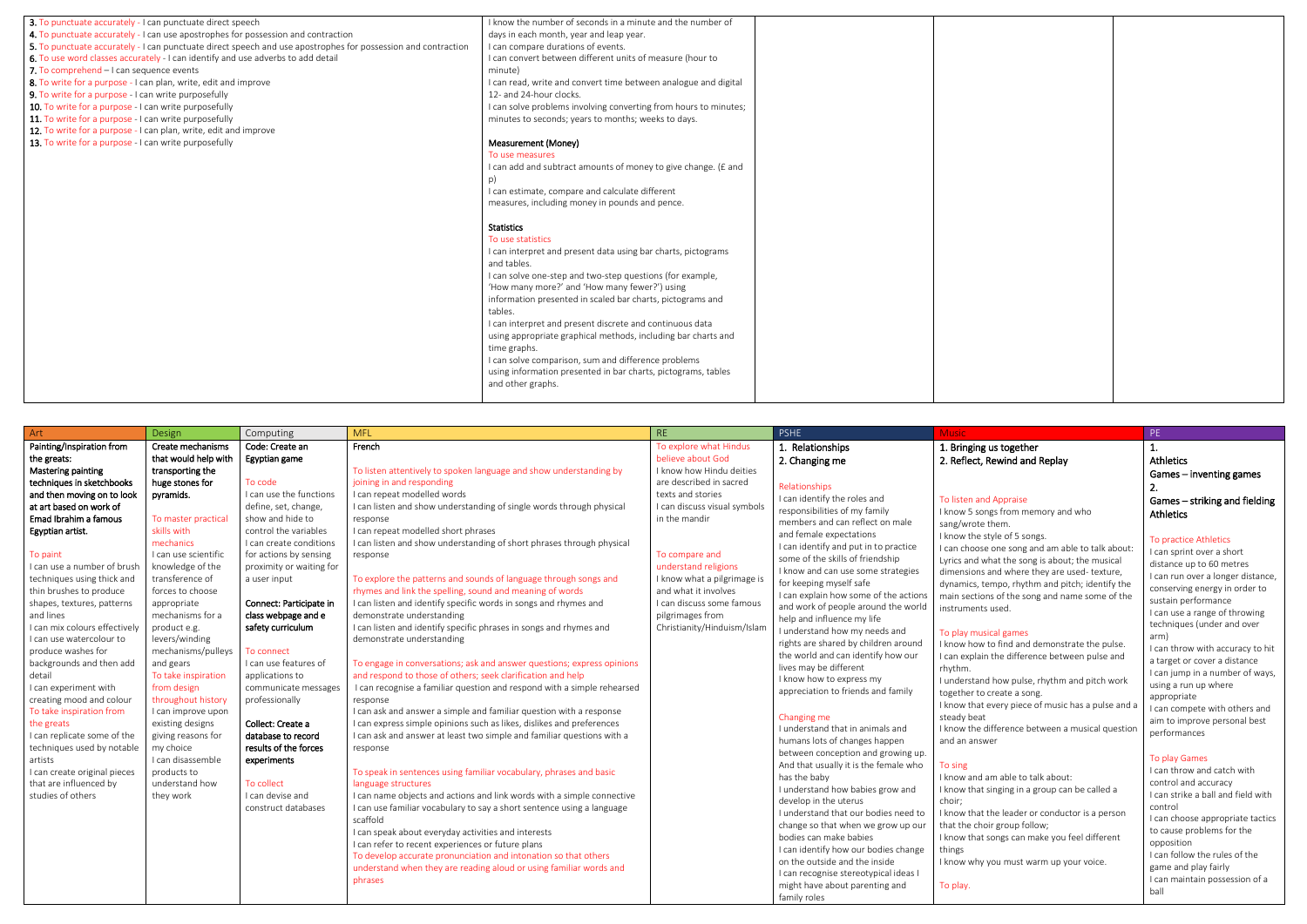| 3. To punctuate accurately - I can punctuate direct speech                                                    | I know the number of seconds in a minute and the number of       |  |
|---------------------------------------------------------------------------------------------------------------|------------------------------------------------------------------|--|
| 4. To punctuate accurately - I can use apostrophes for possession and contraction                             | days in each month, year and leap year.                          |  |
| 5. To punctuate accurately - I can punctuate direct speech and use apostrophes for possession and contraction | I can compare durations of events.                               |  |
| 6. To use word classes accurately - I can identify and use adverbs to add detail                              | I can convert between different units of measure (hour to        |  |
| 7. To comprehend - I can sequence events                                                                      | minute)                                                          |  |
| 8. To write for a purpose - I can plan, write, edit and improve                                               | I can read, write and convert time between analogue and digital  |  |
| 9. To write for a purpose - I can write purposefully                                                          | 12- and 24-hour clocks.                                          |  |
| 10. To write for a purpose - I can write purposefully                                                         | I can solve problems involving converting from hours to minutes; |  |
| 11. To write for a purpose - I can write purposefully                                                         | minutes to seconds; years to months; weeks to days.              |  |
| 12. To write for a purpose - I can plan, write, edit and improve                                              |                                                                  |  |
| 13. To write for a purpose - I can write purposefully                                                         | Measurement (Money)                                              |  |
|                                                                                                               | To use measures                                                  |  |
|                                                                                                               | I can add and subtract amounts of money to give change. (£ and   |  |
|                                                                                                               | p)                                                               |  |
|                                                                                                               | I can estimate, compare and calculate different                  |  |
|                                                                                                               | measures, including money in pounds and pence.                   |  |
|                                                                                                               |                                                                  |  |
|                                                                                                               | <b>Statistics</b>                                                |  |
|                                                                                                               | To use statistics                                                |  |
|                                                                                                               | I can interpret and present data using bar charts, pictograms    |  |
|                                                                                                               | and tables.                                                      |  |
|                                                                                                               | I can solve one-step and two-step questions (for example,        |  |
|                                                                                                               | 'How many more?' and 'How many fewer?') using                    |  |
|                                                                                                               | information presented in scaled bar charts, pictograms and       |  |
|                                                                                                               | tables.                                                          |  |
|                                                                                                               | I can interpret and present discrete and continuous data         |  |
|                                                                                                               | using appropriate graphical methods, including bar charts and    |  |
|                                                                                                               | time graphs.                                                     |  |
|                                                                                                               | I can solve comparison, sum and difference problems              |  |
|                                                                                                               | using information presented in bar charts, pictograms, tables    |  |
|                                                                                                               | and other graphs.                                                |  |
|                                                                                                               |                                                                  |  |
|                                                                                                               |                                                                  |  |

| Art                           | Design               | Computing                | <b>MFL</b>                                                              | <b>RE</b>                    | <b>PSHE</b>                           | <b>Music</b>                                       | PE                       |
|-------------------------------|----------------------|--------------------------|-------------------------------------------------------------------------|------------------------------|---------------------------------------|----------------------------------------------------|--------------------------|
| Painting/Inspiration from     | Create mechanisms    | Code: Create an          | French                                                                  | To explore what Hindus       | 1. Relationships                      | 1. Bringing us together                            |                          |
| the greats:                   | that would help with | Egyptian game            |                                                                         | believe about God            | 2. Changing me                        | 2. Reflect, Rewind and Replay                      | At                       |
| Mastering painting            | transporting the     |                          | To listen attentively to spoken language and show understanding by      | I know how Hindu deities     |                                       |                                                    | Ga                       |
| techniques in sketchbooks     | huge stones for      | To code                  | joining in and responding                                               | are described in sacred      | Relationships                         |                                                    | 2.                       |
| and then moving on to look    | pyramids.            | I can use the functions  | I can repeat modelled words                                             | texts and stories            | I can identify the roles and          | To listen and Appraise                             | Ga                       |
| at art based on work of       |                      | define, set, change,     | I can listen and show understanding of single words through physical    | I can discuss visual symbols | responsibilities of my family         | I know 5 songs from memory and who                 |                          |
| Emad Ibrahim a famous         | To master practical  | show and hide to         | response                                                                | in the mandir                | members and can reflect on male       | sang/wrote them.                                   | At                       |
| Egyptian artist.              | skills with          | control the variables    | I can repeat modelled short phrases                                     |                              | and female expectations               | I know the style of 5 songs.                       |                          |
|                               | mechanics            | I can create conditions  | I can listen and show understanding of short phrases through physical   |                              | I can identify and put in to practice | I can choose one song and am able to talk about:   |                          |
| To paint                      | I can use scientific | for actions by sensing   | response                                                                | To compare and               | some of the skills of friendship      | Lyrics and what the song is about; the musical     | l c                      |
| I can use a number of brush   | knowledge of the     | proximity or waiting for |                                                                         | understand religions         | I know and can use some strategies    | dimensions and where they are used-texture,        | dis                      |
| techniques using thick and    | transference of      | a user input             | To explore the patterns and sounds of language through songs and        | I know what a pilgrimage is  | for keeping myself safe               | dynamics, tempo, rhythm and pitch; identify the    | $\overline{\phantom{a}}$ |
| thin brushes to produce       | forces to choose     |                          | rhymes and link the spelling, sound and meaning of words                | and what it involves         | I can explain how some of the actions | main sections of the song and name some of the     |                          |
| shapes, textures, patterns    | appropriate          | Connect: Participate in  | I can listen and identify specific words in songs and rhymes and        | I can discuss some famous    | and work of people around the world   | instruments used.                                  | su                       |
| and lines                     | mechanisms for a     | class webpage and e      | demonstrate understanding                                               | pilgrimages from             | help and influence my life            |                                                    | $\mathsf{I}$ c           |
| I can mix colours effectively | product e.g.         | safety curriculum        | I can listen and identify specific phrases in songs and rhymes and      | Christianity/Hinduism/Islam  | I understand how my needs and         | To play musical games                              | te                       |
| I can use watercolour to      | levers/winding       |                          | demonstrate understanding                                               |                              | rights are shared by children around  | I know how to find and demonstrate the pulse.      | arı                      |
| produce washes for            | mechanisms/pulleys   | To connect               |                                                                         |                              | the world and can identify how our    | I can explain the difference between pulse and     | $\mathsf{I}$ c           |
| backgrounds and then add      | and gears            | I can use features of    | To engage in conversations; ask and answer questions; express opinions  |                              | lives may be different                | rhythm.                                            | a t                      |
| detail                        | To take inspiration  | applications to          | and respond to those of others; seek clarification and help             |                              | I know how to express my              | I understand how pulse, rhythm and pitch work      | $\mathsf{I}$ c           |
| I can experiment with         | from design          | communicate messages     | I can recognise a familiar question and respond with a simple rehearsed |                              | appreciation to friends and family    | together to create a song.                         | us                       |
| creating mood and colour      | throughout history   | professionally           | response                                                                |                              |                                       | I know that every piece of music has a pulse and a | ap                       |
| To take inspiration from      | I can improve upon   |                          | I can ask and answer a simple and familiar question with a response     |                              | Changing me                           | steady beat                                        |                          |
| the greats                    | existing designs     | Collect: Create a        | I can express simple opinions such as likes, dislikes and preferences   |                              | I understand that in animals and      | I know the difference between a musical question   | air                      |
| I can replicate some of the   | giving reasons for   | database to record       | I can ask and answer at least two simple and familiar questions with a  |                              | humans lots of changes happen         | and an answer                                      |                          |
| techniques used by notable    | my choice            | results of the forces    | response                                                                |                              | between conception and growing up.    |                                                    |                          |
| artists                       | I can disassemble    | experiments              |                                                                         |                              | And that usually it is the female who | To sing                                            |                          |
| I can create original pieces  | products to          |                          | To speak in sentences using familiar vocabulary, phrases and basic      |                              | has the baby                          | I know and am able to talk about:                  | l c                      |
| that are influenced by        | understand how       | To collect               | language structures                                                     |                              | I understand how babies grow and      | I know that singing in a group can be called a     | $_{\rm CO}$              |
| studies of others             | they work            | I can devise and         | I can name objects and actions and link words with a simple connective  |                              | develop in the uterus                 | choir;                                             | $\mathsf{I}$ c           |
|                               |                      | construct databases      | I can use familiar vocabulary to say a short sentence using a language  |                              | I understand that our bodies need to  | I know that the leader or conductor is a person    | $\mathsf{co}$            |
|                               |                      |                          | scaffold                                                                |                              | change so that when we grow up our    | that the choir group follow;                       | $\mathsf{I}$ c           |
|                               |                      |                          | I can speak about everyday activities and interests                     |                              | bodies can make babies                | I know that songs can make you feel different      | to                       |
|                               |                      |                          | I can refer to recent experiences or future plans                       |                              | I can identify how our bodies change  | things                                             | op                       |
|                               |                      |                          | To develop accurate pronunciation and intonation so that others         |                              | on the outside and the inside         | I know why you must warm up your voice.            | $\mathsf{I}$ c           |
|                               |                      |                          | understand when they are reading aloud or using familiar words and      |                              | I can recognise stereotypical ideas I |                                                    | ga                       |
|                               |                      |                          | phrases                                                                 |                              | might have about parenting and        | To play.                                           | $\mathsf{I}$ c           |
|                               |                      |                          |                                                                         |                              | family roles                          |                                                    | ba                       |

## us together Rewind and Replay

### nd Appraise

### ical games

1. Athletics Games – inventing games 2. Games – striking and fielding Athletics

### To practice Athletics

I can sprint over a short distance up to 60 metres I can run over a longer distance, conserving energy in order to sustain performance I can use a range of throwing techniques (under and over arm)

I can throw with accuracy to hit a target or cover a distance I can jump in a number of ways, using a run up where appropriate I can compete with others and aim to improve personal best

performances

#### To play Games

I can throw and catch with control and accuracy I can strike a ball and field with control I can choose appropriate tactics to cause problems for the opposition I can follow the rules of the game and play fairly I can maintain possession of a ball